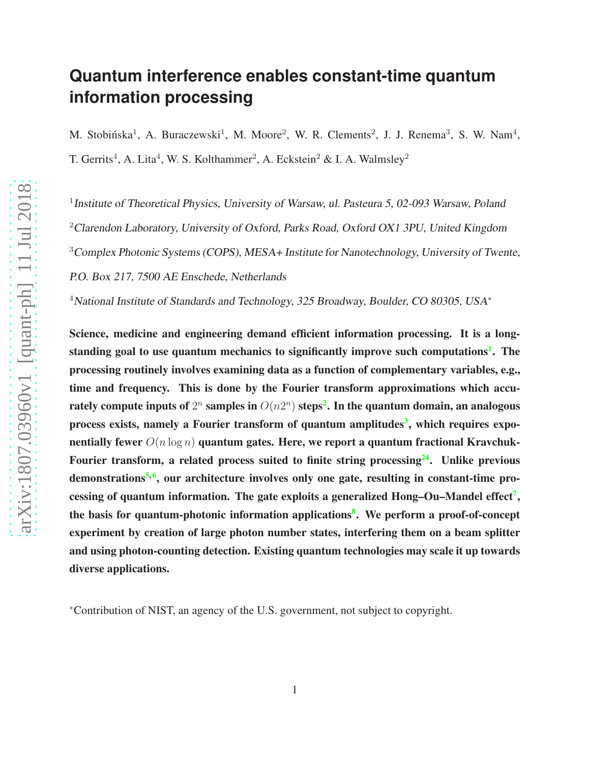# **Quantum interference enables constant-time quantum information processing**

M. Stobińska<sup>1</sup>, A. Buraczewski<sup>1</sup>, M. Moore<sup>2</sup>, W. R. Clements<sup>2</sup>, J. J. Renema<sup>3</sup>, S. W. Nam<sup>4</sup>, T. Gerrits<sup>4</sup>, A. Lita<sup>4</sup>, W. S. Kolthammer<sup>2</sup>, A. Eckstein<sup>2</sup> & I. A. Walmsley<sup>2</sup>

<sup>1</sup> Institute of Theoretical Physics, University of Warsaw, ul. Pasteura 5, 02-093 Warsaw, Poland <sup>2</sup>Clarendon Laboratory, University of Oxford, Parks Road, Oxford OX1 3PU, United Kingdom <sup>3</sup>Complex Photonic Systems (COPS), MESA+ Institute for Nanotechnology, University of Twente, P.O. Box 217, <sup>7500</sup> AE Enschede, Netherlands

<sup>4</sup>National Institute of Standards and Technology, 325 Broadway, Boulder, CO 80305, USA<sup>\*</sup>

Science, medicine and engineering demand efficient information processing. It is a long-standing goal to use quantum mechanics to significantly improve such computations<sup>[1](#page-10-0)</sup>. The processing routinely involves examining data as a function of complementary variables, e.g., time and frequency. This is done by the Fourier transform approximations which accurately compute inputs of  $2^n$  $2^n$  samples in  $O(n2^n)$  steps $^{\text{\textbf{2.}}}$  In the quantum domain, an analogous process exists, namely a Fourier transform of quantum amplitudes<sup>[3](#page-10-2)</sup>, which requires exponentially fewer  $O(n \log n)$  quantum gates. Here, we report a quantum fractional Kravchuk-Fourier transform, a related process suited to finite string processing  $24$ . Unlike previous demonstrations<sup>[5,](#page-10-3)[6](#page-10-4)</sup>, our architecture involves only one gate, resulting in constant-time pro-cessing of quantum information. The gate exploits a generalized Hong-Ou-Mandel effect<sup>[7](#page-10-5)</sup>, the basis for quantum-photonic information applications<sup>[8](#page-10-6)</sup>. We perform a proof-of-concept experiment by creation of large photon number states, interfering them on a beam splitter and using photon-counting detection. Existing quantum technologies may scale it up towards diverse applications.

<sup>∗</sup>Contribution of NIST, an agency of the U.S. government, not subject to copyright.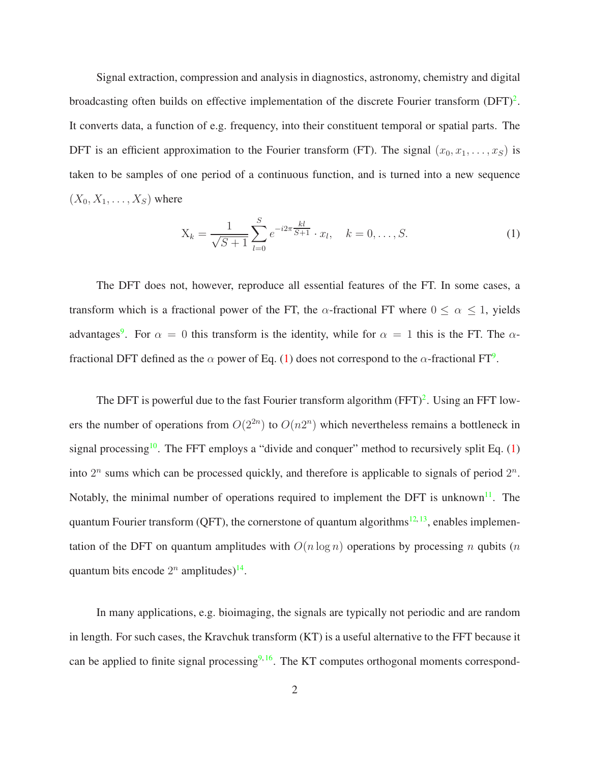Signal extraction, compression and analysis in diagnostics, astronomy, chemistry and digital broadcasting often builds on effective implementation of the discrete Fourier transform  $(DFT)^2$  $(DFT)^2$ . It converts data, a function of e.g. frequency, into their constituent temporal or spatial parts. The DFT is an efficient approximation to the Fourier transform (FT). The signal  $(x_0, x_1, \ldots, x_S)$  is taken to be samples of one period of a continuous function, and is turned into a new sequence  $(X_0, X_1, \ldots, X_S)$  where

<span id="page-1-0"></span>
$$
X_k = \frac{1}{\sqrt{S+1}} \sum_{l=0}^{S} e^{-i2\pi \frac{kl}{S+1}} \cdot x_l, \quad k = 0, \dots, S.
$$
 (1)

The DFT does not, however, reproduce all essential features of the FT. In some cases, a transform which is a fractional power of the FT, the  $\alpha$ -fractional FT where  $0 \le \alpha \le 1$ , yields advantages<sup>[9](#page-10-7)</sup>. For  $\alpha = 0$  this transform is the identity, while for  $\alpha = 1$  this is the FT. The  $\alpha$ fractional DFT defined as the  $\alpha$  power of Eq. [\(1\)](#page-1-0) does not correspond to the  $\alpha$ -fractional FT<sup>[9](#page-10-7)</sup>.

The DFT is powerful due to the fast Fourier transform algorithm  $(FFT)^2$  $(FFT)^2$ . Using an FFT lowers the number of operations from  $O(2^{2n})$  to  $O(n2^n)$  which nevertheless remains a bottleneck in signal processing<sup>[10](#page-11-0)</sup>. The FFT employs a "divide and conquer" method to recursively split Eq.  $(1)$ into  $2^n$  sums which can be processed quickly, and therefore is applicable to signals of period  $2^n$ . Notably, the minimal number of operations required to implement the DFT is unknown<sup>[11](#page-11-1)</sup>. The quantum Fourier transform (QFT), the cornerstone of quantum algorithms<sup>[12,](#page-11-2) [13](#page-11-3)</sup>, enables implementation of the DFT on quantum amplitudes with  $O(n \log n)$  operations by processing n qubits  $(n \log n)$ quantum bits encode  $2^n$  amplitudes)<sup>[14](#page-11-4)</sup>.

In many applications, e.g. bioimaging, the signals are typically not periodic and are random in length. For such cases, the Kravchuk transform (KT) is a useful alternative to the FFT because it can be applied to finite signal processing $9,16$  $9,16$ . The KT computes orthogonal moments correspond-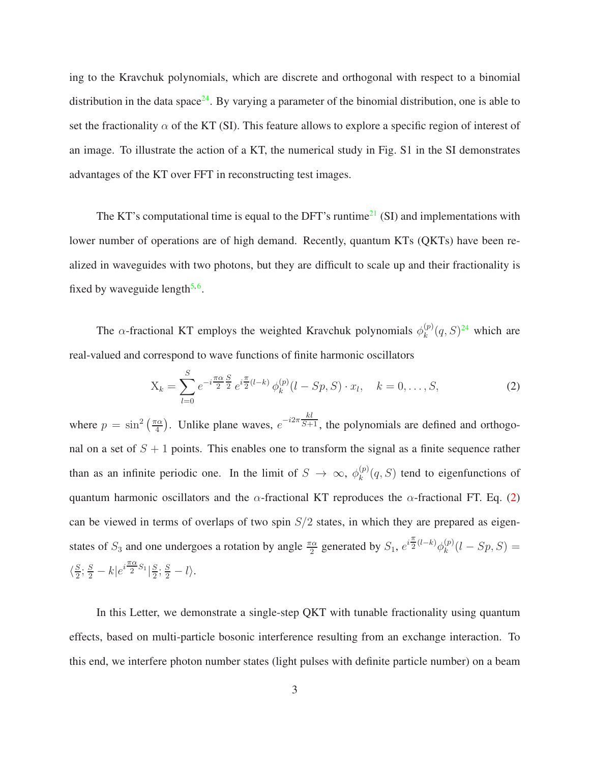ing to the Kravchuk polynomials, which are discrete and orthogonal with respect to a binomial distribution in the data space<sup>[24](#page-42-0)</sup>. By varying a parameter of the binomial distribution, one is able to set the fractionality  $\alpha$  of the KT (SI). This feature allows to explore a specific region of interest of an image. To illustrate the action of a KT, the numerical study in Fig. S1 in the SI demonstrates advantages of the KT over FFT in reconstructing test images.

The KT's computational time is equal to the DFT's runtime<sup>[21](#page-42-1)</sup> (SI) and implementations with lower number of operations are of high demand. Recently, quantum KTs (QKTs) have been realized in waveguides with two photons, but they are difficult to scale up and their fractionality is fixed by waveguide length<sup>[5,](#page-10-3)[6](#page-10-4)</sup>.

The  $\alpha$ -fractional KT employs the weighted Kravchuk polynomials  $\phi_k^{(p)}$  $k^{(p)}(q, S)^{24}$  $k^{(p)}(q, S)^{24}$  $k^{(p)}(q, S)^{24}$  which are real-valued and correspond to wave functions of finite harmonic oscillators

<span id="page-2-0"></span>
$$
X_k = \sum_{l=0}^{S} e^{-i\frac{\pi\alpha}{2}\frac{S}{2}} e^{i\frac{\pi}{2}(l-k)} \phi_k^{(p)}(l - Sp, S) \cdot x_l, \quad k = 0, \dots, S,
$$
 (2)

where  $p = \sin^2\left(\frac{\pi\alpha}{4}\right)$  $\binom{\pi\alpha}{4}$ . Unlike plane waves,  $e^{-i2\pi\frac{kl}{S+1}}$ , the polynomials are defined and orthogonal on a set of  $S + 1$  points. This enables one to transform the signal as a finite sequence rather than as an infinite periodic one. In the limit of  $S \to \infty$ ,  $\phi_k^{(p)}$  $k^{(p)}(q, S)$  tend to eigenfunctions of quantum harmonic oscillators and the  $\alpha$ -fractional KT reproduces the  $\alpha$ -fractional FT. Eq. [\(2\)](#page-2-0) can be viewed in terms of overlaps of two spin  $S/2$  states, in which they are prepared as eigenstates of  $S_3$  and one undergoes a rotation by angle  $\frac{\pi \alpha}{2}$  generated by  $S_1$ ,  $e^{i\frac{\pi}{2}}$  $\frac{\pi}{2}^{(l-k)}\phi_k^{(p)}$  $_{k}^{(p)}(l - Sp, S) =$  $\langle \frac{S}{2}$  $\frac{S}{2}$ ;  $\frac{S}{2} - k\left|e^{i\frac{\pi\alpha}{2}}\right|$  $\frac{18}{2}S_1\left\vert \frac{S}{2}\right\vert$  $\frac{S}{2}$ ;  $\frac{S}{2} - l$ .

In this Letter, we demonstrate a single-step QKT with tunable fractionality using quantum effects, based on multi-particle bosonic interference resulting from an exchange interaction. To this end, we interfere photon number states (light pulses with definite particle number) on a beam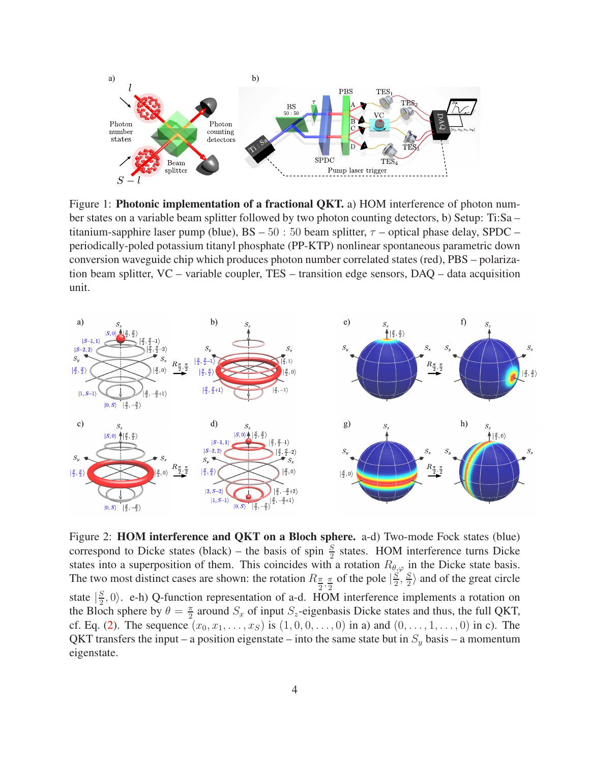

Figure 1: **Photonic implementation of a fractional QKT.** a) HOM interference of photon number states on a variable beam splitter followed by two photon counting detectors, b) Setup: Ti:Sa – titanium-sapphire laser pump (blue),  $BS - 50 : 50$  beam splitter,  $\tau$  – optical phase delay, SPDC – periodically-poled potassium titanyl phosphate (PP-KTP) nonlinear spontaneous parametric down conversion waveguide chip which produces photon number correlated states (red), PBS – polarization beam splitter, VC – variable coupler, TES – transition edge sensors, DAQ – data acquisition unit.



Figure 2: HOM interference and QKT on a Bloch sphere. a-d) Two-mode Fock states (blue) correspond to Dicke states (black) – the basis of spin  $\frac{S}{2}$  states. HOM interference turns Dicke states into a superposition of them. This coincides with a rotation  $R_{\theta,\varphi}$  in the Dicke state basis. The two most distinct cases are shown: the rotation  $R_{\frac{\pi}{2}, \frac{\pi}{2}}$  $\frac{\pi}{2}$  of the pole  $\left|\frac{S}{2}\right|$  $\frac{S}{2},\frac{S}{2}$  $\frac{S}{2}$  and of the great circle state  $\left|\frac{S}{2}\right|$  $\frac{S}{2}$ , 0). e-h) Q-function representation of a-d. HOM interference implements a rotation on the Bloch sphere by  $\theta = \frac{\pi}{2}$  $\frac{\pi}{2}$  around  $S_x$  of input  $S_z$ -eigenbasis Dicke states and thus, the full QKT, cf. Eq. [\(2\)](#page-2-0). The sequence  $(x_0, x_1, \ldots, x_S)$  is  $(1, 0, 0, \ldots, 0)$  in a) and  $(0, \ldots, 1, \ldots, 0)$  in c). The QKT transfers the input – a position eigenstate – into the same state but in  $S_y$  basis – a momentum eigenstate.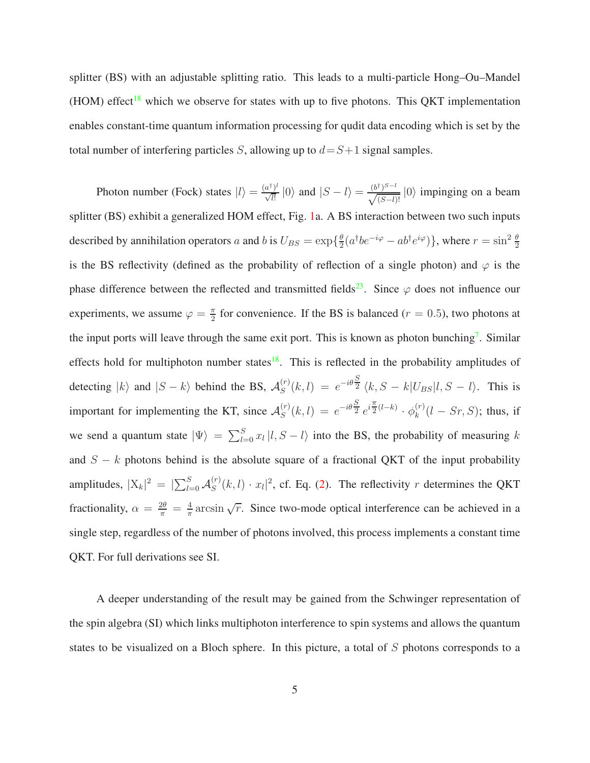splitter (BS) with an adjustable splitting ratio. This leads to a multi-particle Hong–Ou–Mandel (HOM) effect<sup>[18](#page-11-6)</sup> which we observe for states with up to five photons. This QKT implementation enables constant-time quantum information processing for qudit data encoding which is set by the total number of interfering particles S, allowing up to  $d = S+1$  signal samples.

Photon number (Fock) states  $|l\rangle = \frac{(a^{\dagger})^l}{\sqrt{l!}}$  $\frac{a^{\dagger} \, v^l}{\sqrt{l!}} |0\rangle$  and  $|S - l\rangle = \frac{(b^{\dagger})^{S-l}}{\sqrt{(S-l)!}} |0\rangle$  impinging on a beam splitter (BS) exhibit a generalized HOM effect, Fig. [1a](#page-15-0). A BS interaction between two such inputs described by annihilation operators a and b is  $U_{BS} = \exp\left\{\frac{\theta}{2}\right\}$  $\frac{\theta}{2}(a^{\dagger}be^{-i\varphi}-ab^{\dagger}e^{i\varphi})\},$  where  $r=\sin^2\frac{\theta}{2}$ is the BS reflectivity (defined as the probability of reflection of a single photon) and  $\varphi$  is the phase difference between the reflected and transmitted fields<sup>[23](#page-42-2)</sup>. Since  $\varphi$  does not influence our experiments, we assume  $\varphi = \frac{\pi}{2}$  $\frac{\pi}{2}$  for convenience. If the BS is balanced ( $r = 0.5$ ), two photons at the input ports will leave through the same exit port. This is known as photon bunching<sup>[7](#page-10-5)</sup>. Similar effects hold for multiphoton number states<sup>[18](#page-11-6)</sup>. This is reflected in the probability amplitudes of detecting  $|k\rangle$  and  $|S - k\rangle$  behind the BS,  $\mathcal{A}_{S}^{(r)}$  $S^{(r)}(k, l) = e^{-i\theta \frac{S}{2}} \langle k, S - k | U_{BS} | l, S - l \rangle$ . This is important for implementing the KT, since  $\mathcal{A}_{S}^{(r)}$  $S^{(r)}(k,l) = e^{-i\theta \frac{S}{2}} e^{i\frac{\pi}{2}}$  $\frac{\pi}{2}^{(l-k)} \cdot \phi_k^{(r)}$  $\binom{r}{k}(l - Sr, S)$ ; thus, if we send a quantum state  $|\Psi\rangle = \sum_{l=0}^{S} x_l |l, S - l\rangle$  into the BS, the probability of measuring k and  $S - k$  photons behind is the absolute square of a fractional QKT of the input probability amplitudes,  $|X_k|^2 = |\sum_{l=0}^S \mathcal{A}_S^{(r)}|$  $S^{(r)}(k, l) \cdot x_l|^2$ , cf. Eq. [\(2\)](#page-2-0). The reflectivity r determines the QKT fractionality,  $\alpha = \frac{2\theta}{\pi} = \frac{4}{\pi}$  $\frac{4}{\pi}$  arcsin  $\sqrt{r}$ . Since two-mode optical interference can be achieved in a single step, regardless of the number of photons involved, this process implements a constant time QKT. For full derivations see SI.

A deeper understanding of the result may be gained from the Schwinger representation of the spin algebra (SI) which links multiphoton interference to spin systems and allows the quantum states to be visualized on a Bloch sphere. In this picture, a total of S photons corresponds to a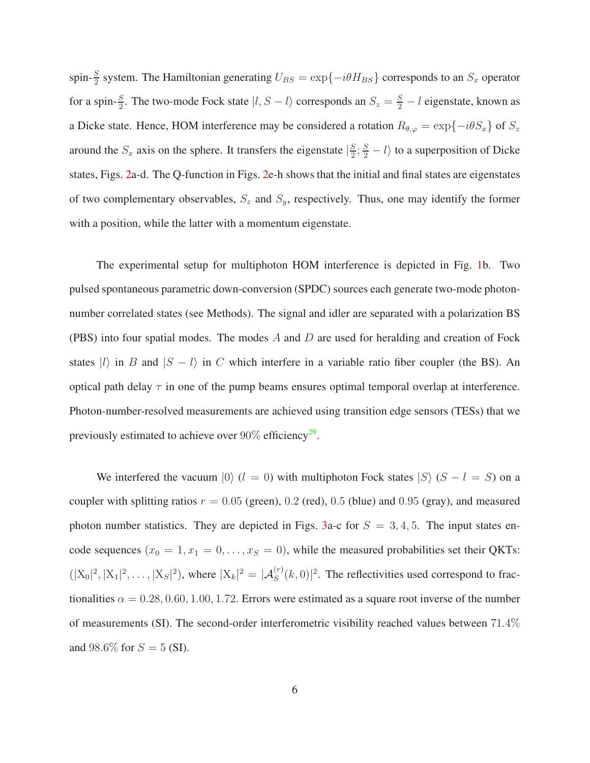spin- $\frac{S}{2}$  system. The Hamiltonian generating  $U_{BS} = \exp\{-i\theta H_{BS}\}$  corresponds to an  $S_x$  operator for a spin- $\frac{S}{2}$ . The two-mode Fock state  $|l, S - l\rangle$  corresponds an  $S_z = \frac{S}{2} - l$  eigenstate, known as a Dicke state. Hence, HOM interference may be considered a rotation  $R_{\theta,\varphi} = \exp\{-i\theta S_x\}$  of  $S_z$ around the  $S_x$  axis on the sphere. It transfers the eigenstate  $\frac{S}{2}$  $\frac{S}{2}$ ;  $\frac{S}{2} - l$  to a superposition of Dicke states, Figs. [2a](#page-32-0)-d. The Q-function in Figs. [2e](#page-32-0)-h shows that the initial and final states are eigenstates of two complementary observables,  $S_z$  and  $S_y$ , respectively. Thus, one may identify the former with a position, while the latter with a momentum eigenstate.

The experimental setup for multiphoton HOM interference is depicted in Fig. [1b](#page-15-0). Two pulsed spontaneous parametric down-conversion (SPDC) sources each generate two-mode photonnumber correlated states (see Methods). The signal and idler are separated with a polarization BS (PBS) into four spatial modes. The modes  $A$  and  $D$  are used for heralding and creation of Fock states  $|l\rangle$  in B and  $|S - l\rangle$  in C which interfere in a variable ratio fiber coupler (the BS). An optical path delay  $\tau$  in one of the pump beams ensures optimal temporal overlap at interference. Photon-number-resolved measurements are achieved using transition edge sensors (TESs) that we previously estimated to achieve over  $90\%$  efficiency<sup>[29](#page-43-0)</sup>.

We interfered the vacuum  $|0\rangle$  (l = 0) with multiphoton Fock states  $|S\rangle$  (S – l = S) on a coupler with splitting ratios  $r = 0.05$  (green), 0.2 (red), 0.5 (blue) and 0.95 (gray), and measured photon number statistics. They are depicted in Figs. [3a](#page-37-0)-c for  $S = 3, 4, 5$ . The input states encode sequences  $(x_0 = 1, x_1 = 0, \ldots, x_s = 0)$ , while the measured probabilities set their QKTs:  $(|X_0|^2, |X_1|^2, \ldots, |X_S|^2)$ , where  $|X_k|^2 = |\mathcal{A}_S^{(r)}(k, 0)|^2$ . The reflectivities used correspond to fractionalities  $\alpha = 0.28, 0.60, 1.00, 1.72$ . Errors were estimated as a square root inverse of the number of measurements (SI). The second-order interferometric visibility reached values between 71.4% and 98.6% for  $S = 5$  (SI).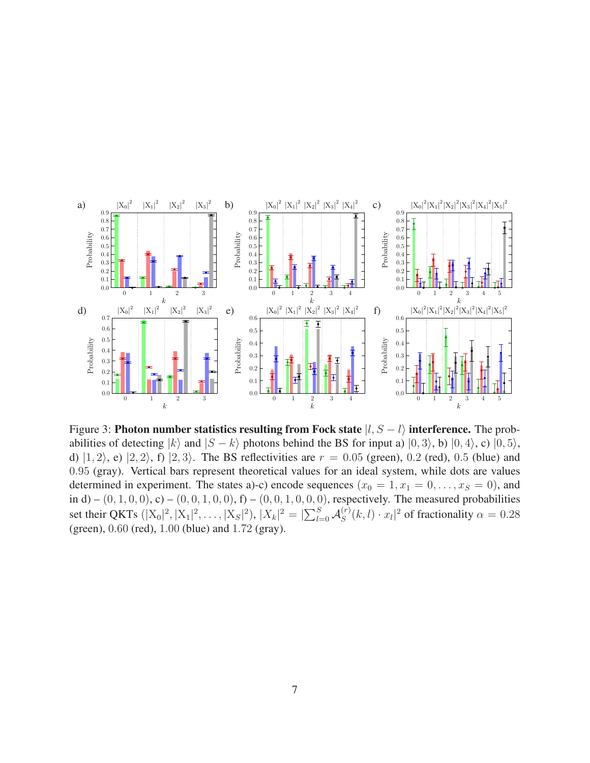

Figure 3: Photon number statistics resulting from Fock state  $|l, S - l\rangle$  interference. The probabilities of detecting  $|k\rangle$  and  $|S - k\rangle$  photons behind the BS for input a)  $|0, 3\rangle$ , b)  $|0, 4\rangle$ , c)  $|0, 5\rangle$ , d)  $|1, 2\rangle$ , e)  $|2, 2\rangle$ , f)  $|2, 3\rangle$ . The BS reflectivities are  $r = 0.05$  (green), 0.2 (red), 0.5 (blue) and 0.95 (gray). Vertical bars represent theoretical values for an ideal system, while dots are values determined in experiment. The states a)-c) encode sequences  $(x_0 = 1, x_1 = 0, \ldots, x_S = 0)$ , and in d) –  $(0, 1, 0, 0)$ , c) –  $(0, 0, 1, 0, 0)$ , f) –  $(0, 0, 1, 0, 0, 0)$ , respectively. The measured probabilities set their QKTs  $(|X_0|^2, |X_1|^2, \dots, |X_S|^2), |X_k|^2 = |\sum_{l=0}^{S} A_S^{(r)}|$  $\int_{S}^{(r)}(k,l)\cdot x_l|^2$  of fractionality  $\alpha = 0.28$ (green), 0.60 (red), 1.00 (blue) and 1.72 (gray).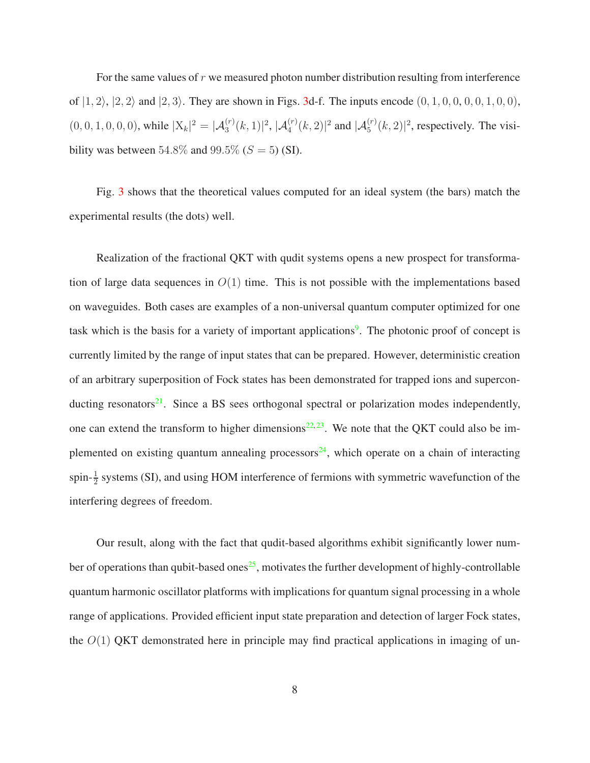For the same values of  $r$  we measured photon number distribution resulting from interference of  $|1, 2\rangle$ ,  $|2, 2\rangle$  and  $|2, 3\rangle$ . They are shown in Figs. [3d](#page-37-0)-f. The inputs encode  $(0, 1, 0, 0, 0, 0, 1, 0, 0)$ ,  $(0, 0, 1, 0, 0, 0)$ , while  $|X_k|^2 = |\mathcal{A}_3^{(r)}(k, 1)|^2$ ,  $|\mathcal{A}_4^{(r)}(k, 2)|^2$  and  $|\mathcal{A}_5^{(r)}(k, 2)|^2$ , respectively. The visibility was between 54.8% and 99.5% ( $S = 5$ ) (SI).

Fig. [3](#page-37-0) shows that the theoretical values computed for an ideal system (the bars) match the experimental results (the dots) well.

Realization of the fractional QKT with qudit systems opens a new prospect for transformation of large data sequences in  $O(1)$  time. This is not possible with the implementations based on waveguides. Both cases are examples of a non-universal quantum computer optimized for one task which is the basis for a variety of important applications<sup>[9](#page-40-0)</sup>. The photonic proof of concept is currently limited by the range of input states that can be prepared. However, deterministic creation of an arbitrary superposition of Fock states has been demonstrated for trapped ions and supercon-ducting resonators<sup>[21](#page-12-0)</sup>. Since a BS sees orthogonal spectral or polarization modes independently, one can extend the transform to higher dimensions $^{22, 23}$  $^{22, 23}$  $^{22, 23}$  $^{22, 23}$  $^{22, 23}$ . We note that the QKT could also be im-plemented on existing quantum annealing processors<sup>[24](#page-12-3)</sup>, which operate on a chain of interacting spin- $\frac{1}{2}$  systems (SI), and using HOM interference of fermions with symmetric wavefunction of the interfering degrees of freedom.

Our result, along with the fact that qudit-based algorithms exhibit significantly lower num-ber of operations than qubit-based ones<sup>[25](#page-12-4)</sup>, motivates the further development of highly-controllable quantum harmonic oscillator platforms with implications for quantum signal processing in a whole range of applications. Provided efficient input state preparation and detection of larger Fock states, the  $O(1)$  QKT demonstrated here in principle may find practical applications in imaging of un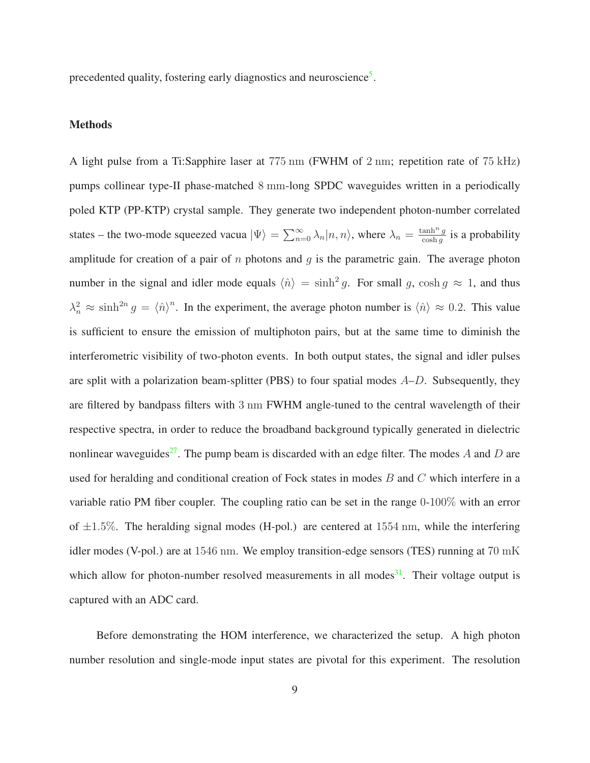precedented quality, fostering early diagnostics and neuroscience<sup>[5](#page-40-1)</sup>.

#### Methods

A light pulse from a Ti:Sapphire laser at 775 nm (FWHM of 2 nm; repetition rate of 75 kHz) pumps collinear type-II phase-matched 8 mm-long SPDC waveguides written in a periodically poled KTP (PP-KTP) crystal sample. They generate two independent photon-number correlated states – the two-mode squeezed vacua  $|\Psi\rangle = \sum_{n=0}^{\infty} \lambda_n |n,n\rangle$ , where  $\lambda_n = \frac{\tanh^n g}{\cosh g}$  $\frac{\text{ann'' } g}{\cosh g}$  is a probability amplitude for creation of a pair of n photons and  $g$  is the parametric gain. The average photon number in the signal and idler mode equals  $\langle \hat{n} \rangle = \sinh^2 g$ . For small g,  $\cosh g \approx 1$ , and thus  $\lambda_n^2 \approx \sinh^{2n} g = \langle \hat{n} \rangle^n$ . In the experiment, the average photon number is  $\langle \hat{n} \rangle \approx 0.2$ . This value is sufficient to ensure the emission of multiphoton pairs, but at the same time to diminish the interferometric visibility of two-photon events. In both output states, the signal and idler pulses are split with a polarization beam-splitter (PBS) to four spatial modes  $A-D$ . Subsequently, they are filtered by bandpass filters with 3 nm FWHM angle-tuned to the central wavelength of their respective spectra, in order to reduce the broadband background typically generated in dielectric nonlinear waveguides<sup>[27](#page-12-5)</sup>. The pump beam is discarded with an edge filter. The modes A and D are used for heralding and conditional creation of Fock states in modes  $B$  and  $C$  which interfere in a variable ratio PM fiber coupler. The coupling ratio can be set in the range 0-100% with an error of  $\pm 1.5\%$ . The heralding signal modes (H-pol.) are centered at 1554 nm, while the interfering idler modes (V-pol.) are at 1546 nm. We employ transition-edge sensors (TES) running at 70 mK which allow for photon-number resolved measurements in all modes<sup>[31](#page-43-1)</sup>. Their voltage output is captured with an ADC card.

Before demonstrating the HOM interference, we characterized the setup. A high photon number resolution and single-mode input states are pivotal for this experiment. The resolution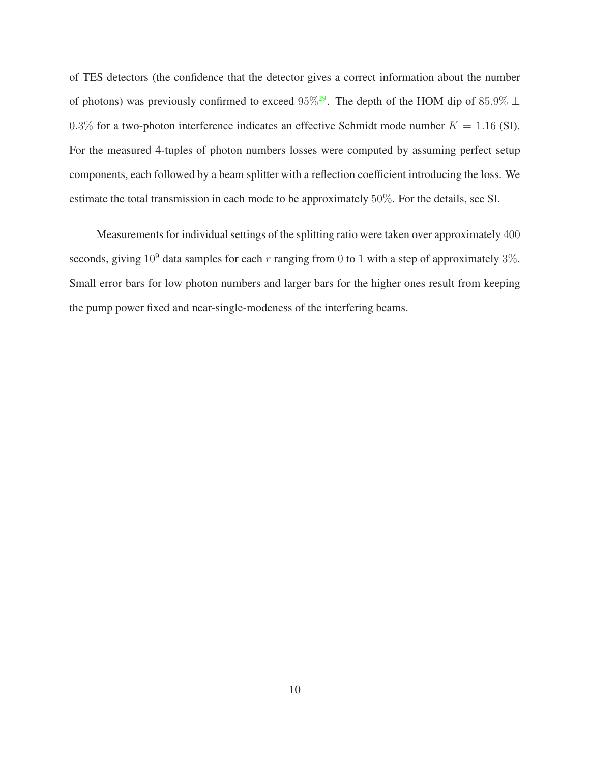of TES detectors (the confidence that the detector gives a correct information about the number of photons) was previously confirmed to exceed  $95\%^{29}$  $95\%^{29}$  $95\%^{29}$ . The depth of the HOM dip of  $85.9\% \pm$ 0.3% for a two-photon interference indicates an effective Schmidt mode number  $K = 1.16$  (SI). For the measured 4-tuples of photon numbers losses were computed by assuming perfect setup components, each followed by a beam splitter with a reflection coefficient introducing the loss. We estimate the total transmission in each mode to be approximately 50%. For the details, see SI.

Measurements for individual settings of the splitting ratio were taken over approximately 400 seconds, giving  $10^9$  data samples for each r ranging from 0 to 1 with a step of approximately 3%. Small error bars for low photon numbers and larger bars for the higher ones result from keeping the pump power fixed and near-single-modeness of the interfering beams.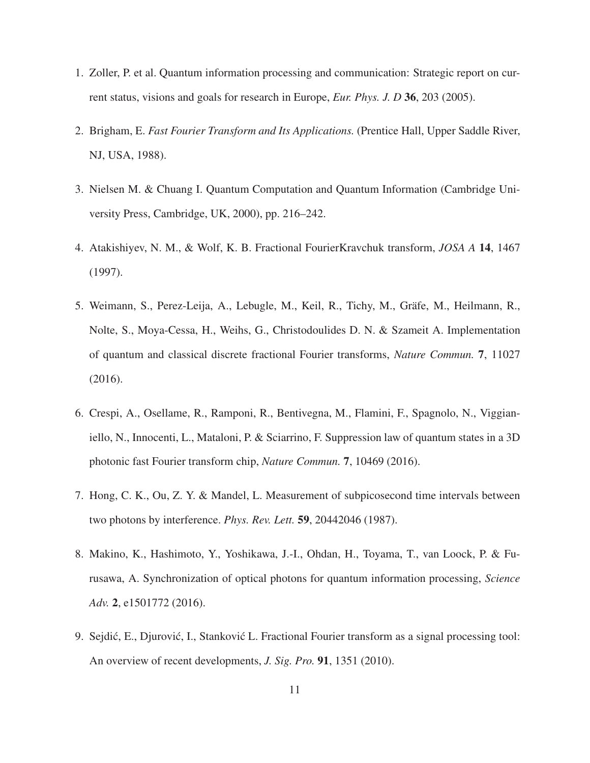- <span id="page-10-1"></span><span id="page-10-0"></span>1. Zoller, P. et al. Quantum information processing and communication: Strategic report on current status, visions and goals for research in Europe, *Eur. Phys. J. D* 36, 203 (2005).
- <span id="page-10-2"></span>2. Brigham, E. *Fast Fourier Transform and Its Applications.* (Prentice Hall, Upper Saddle River, NJ, USA, 1988).
- 3. Nielsen M. & Chuang I. Quantum Computation and Quantum Information (Cambridge University Press, Cambridge, UK, 2000), pp. 216–242.
- <span id="page-10-3"></span>4. Atakishiyev, N. M., & Wolf, K. B. Fractional FourierKravchuk transform, *JOSA A* 14, 1467 (1997).
- 5. Weimann, S., Perez-Leija, A., Lebugle, M., Keil, R., Tichy, M., Gräfe, M., Heilmann, R., Nolte, S., Moya-Cessa, H., Weihs, G., Christodoulides D. N. & Szameit A. Implementation of quantum and classical discrete fractional Fourier transforms, *Nature Commun.* 7, 11027 (2016).
- <span id="page-10-4"></span>6. Crespi, A., Osellame, R., Ramponi, R., Bentivegna, M., Flamini, F., Spagnolo, N., Viggianiello, N., Innocenti, L., Mataloni, P. & Sciarrino, F. Suppression law of quantum states in a 3D photonic fast Fourier transform chip, *Nature Commun.* 7, 10469 (2016).
- <span id="page-10-6"></span><span id="page-10-5"></span>7. Hong, C. K., Ou, Z. Y. & Mandel, L. Measurement of subpicosecond time intervals between two photons by interference. *Phys. Rev. Lett.* 59, 20442046 (1987).
- 8. Makino, K., Hashimoto, Y., Yoshikawa, J.-I., Ohdan, H., Toyama, T., van Loock, P. & Furusawa, A. Synchronization of optical photons for quantum information processing, *Science Adv.* 2, e1501772 (2016).
- <span id="page-10-7"></span>9. Sejdić, E., Djurović, I., Stanković L. Fractional Fourier transform as a signal processing tool: An overview of recent developments, *J. Sig. Pro.* 91, 1351 (2010).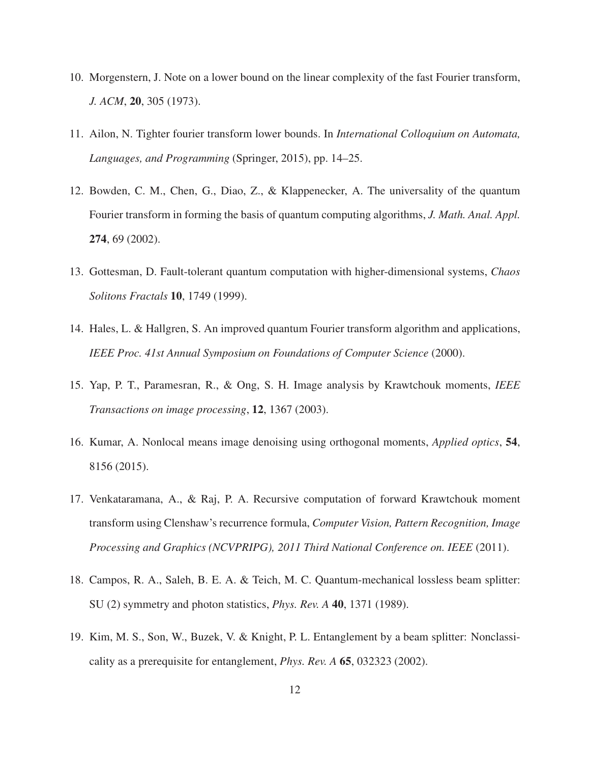- <span id="page-11-1"></span><span id="page-11-0"></span>10. Morgenstern, J. Note on a lower bound on the linear complexity of the fast Fourier transform, *J. ACM*, 20, 305 (1973).
- <span id="page-11-2"></span>11. Ailon, N. Tighter fourier transform lower bounds. In *International Colloquium on Automata, Languages, and Programming* (Springer, 2015), pp. 14–25.
- 12. Bowden, C. M., Chen, G., Diao, Z., & Klappenecker, A. The universality of the quantum Fourier transform in forming the basis of quantum computing algorithms, *J. Math. Anal. Appl.* 274, 69 (2002).
- <span id="page-11-4"></span><span id="page-11-3"></span>13. Gottesman, D. Fault-tolerant quantum computation with higher-dimensional systems, *Chaos Solitons Fractals* 10, 1749 (1999).
- 14. Hales, L. & Hallgren, S. An improved quantum Fourier transform algorithm and applications, *IEEE Proc. 41st Annual Symposium on Foundations of Computer Science* (2000).
- <span id="page-11-5"></span>15. Yap, P. T., Paramesran, R., & Ong, S. H. Image analysis by Krawtchouk moments, *IEEE Transactions on image processing*, 12, 1367 (2003).
- 16. Kumar, A. Nonlocal means image denoising using orthogonal moments, *Applied optics*, 54, 8156 (2015).
- 17. Venkataramana, A., & Raj, P. A. Recursive computation of forward Krawtchouk moment transform using Clenshaw's recurrence formula, *Computer Vision, Pattern Recognition, Image Processing and Graphics (NCVPRIPG), 2011 Third National Conference on. IEEE* (2011).
- <span id="page-11-6"></span>18. Campos, R. A., Saleh, B. E. A. & Teich, M. C. Quantum-mechanical lossless beam splitter: SU (2) symmetry and photon statistics, *Phys. Rev. A* 40, 1371 (1989).
- 19. Kim, M. S., Son, W., Buzek, V. & Knight, P. L. Entanglement by a beam splitter: Nonclassicality as a prerequisite for entanglement, *Phys. Rev. A* 65, 032323 (2002).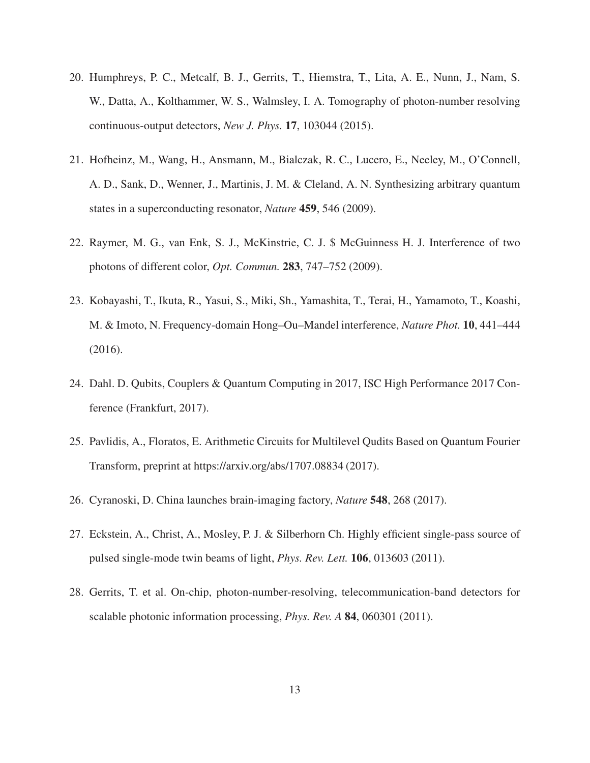- 20. Humphreys, P. C., Metcalf, B. J., Gerrits, T., Hiemstra, T., Lita, A. E., Nunn, J., Nam, S. W., Datta, A., Kolthammer, W. S., Walmsley, I. A. Tomography of photon-number resolving continuous-output detectors, *New J. Phys.* 17, 103044 (2015).
- <span id="page-12-0"></span>21. Hofheinz, M., Wang, H., Ansmann, M., Bialczak, R. C., Lucero, E., Neeley, M., O'Connell, A. D., Sank, D., Wenner, J., Martinis, J. M. & Cleland, A. N. Synthesizing arbitrary quantum states in a superconducting resonator, *Nature* 459, 546 (2009).
- <span id="page-12-2"></span><span id="page-12-1"></span>22. Raymer, M. G., van Enk, S. J., McKinstrie, C. J. \$ McGuinness H. J. Interference of two photons of different color, *Opt. Commun.* 283, 747–752 (2009).
- 23. Kobayashi, T., Ikuta, R., Yasui, S., Miki, Sh., Yamashita, T., Terai, H., Yamamoto, T., Koashi, M. & Imoto, N. Frequency-domain Hong–Ou–Mandel interference, *Nature Phot.* 10, 441–444 (2016).
- <span id="page-12-4"></span><span id="page-12-3"></span>24. Dahl. D. Qubits, Couplers & Quantum Computing in 2017, ISC High Performance 2017 Conference (Frankfurt, 2017).
- 25. Pavlidis, A., Floratos, E. Arithmetic Circuits for Multilevel Qudits Based on Quantum Fourier Transform, preprint at https://arxiv.org/abs/1707.08834 (2017).
- <span id="page-12-5"></span>26. Cyranoski, D. China launches brain-imaging factory, *Nature* 548, 268 (2017).
- 27. Eckstein, A., Christ, A., Mosley, P. J. & Silberhorn Ch. Highly efficient single-pass source of pulsed single-mode twin beams of light, *Phys. Rev. Lett.* 106, 013603 (2011).
- 28. Gerrits, T. et al. On-chip, photon-number-resolving, telecommunication-band detectors for scalable photonic information processing, *Phys. Rev. A* 84, 060301 (2011).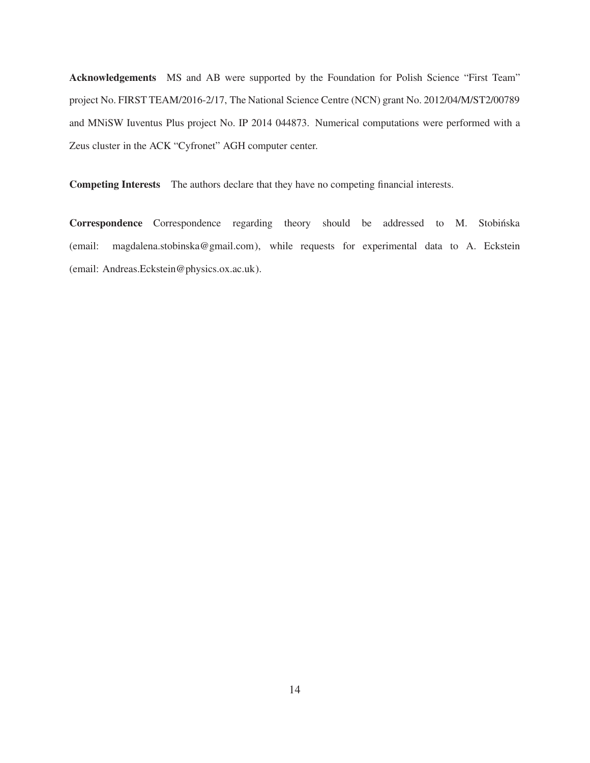Acknowledgements MS and AB were supported by the Foundation for Polish Science "First Team" project No. FIRST TEAM/2016-2/17, The National Science Centre (NCN) grant No. 2012/04/M/ST2/00789 and MNiSW Iuventus Plus project No. IP 2014 044873. Numerical computations were performed with a Zeus cluster in the ACK "Cyfronet" AGH computer center.

Competing Interests The authors declare that they have no competing financial interests.

Correspondence Correspondence regarding theory should be addressed to M. Stobińska (email: magdalena.stobinska@gmail.com), while requests for experimental data to A. Eckstein (email: Andreas.Eckstein@physics.ox.ac.uk).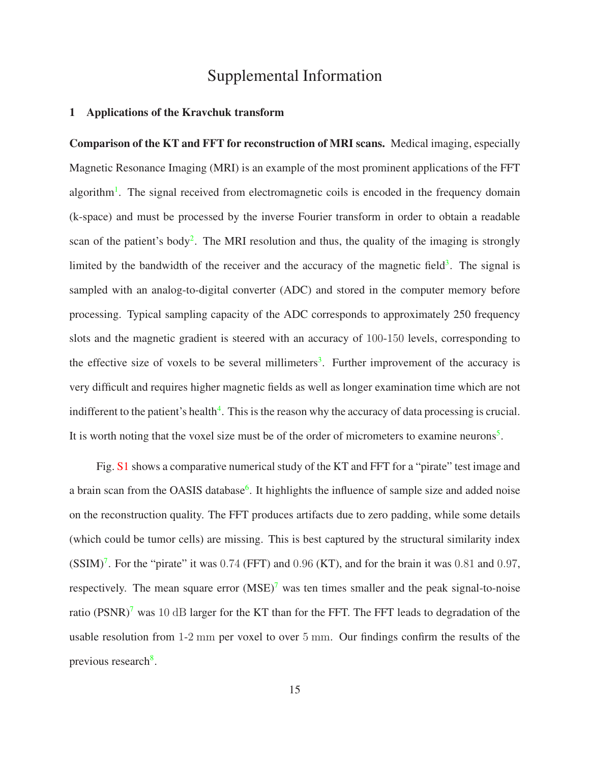# Supplemental Information

#### 1 Applications of the Kravchuk transform

Comparison of the KT and FFT for reconstruction of MRI scans. Medical imaging, especially Magnetic Resonance Imaging (MRI) is an example of the most prominent applications of the FFT algorithm<sup>[1](#page-40-2)</sup>. The signal received from electromagnetic coils is encoded in the frequency domain (k-space) and must be processed by the inverse Fourier transform in order to obtain a readable scan of the patient's body<sup>[2](#page-40-3)</sup>. The MRI resolution and thus, the quality of the imaging is strongly limited by the bandwidth of the receiver and the accuracy of the magnetic field<sup>[3](#page-40-4)</sup>. The signal is sampled with an analog-to-digital converter (ADC) and stored in the computer memory before processing. Typical sampling capacity of the ADC corresponds to approximately 250 frequency slots and the magnetic gradient is steered with an accuracy of 100-150 levels, corresponding to the effective size of voxels to be several millimeters<sup>[3](#page-40-4)</sup>. Further improvement of the accuracy is very difficult and requires higher magnetic fields as well as longer examination time which are not indifferent to the patient's health $4$ . This is the reason why the accuracy of data processing is crucial. It is worth noting that the voxel size must be of the order of micrometers to examine neurons<sup>[5](#page-40-1)</sup>.

Fig. [S1](#page-15-0) shows a comparative numerical study of the KT and FFT for a "pirate" test image and a brain scan from the OASIS database<sup>[6](#page-40-6)</sup>. It highlights the influence of sample size and added noise on the reconstruction quality. The FFT produces artifacts due to zero padding, while some details (which could be tumor cells) are missing. This is best captured by the structural similarity index  $(SSIM)^7$  $(SSIM)^7$ . For the "pirate" it was 0.74 (FFT) and 0.96 (KT), and for the brain it was 0.81 and 0.97, respectively. The mean square error  $(MSE)^7$  $(MSE)^7$  was ten times smaller and the peak signal-to-noise ratio (PSNR)<sup>[7](#page-40-7)</sup> was 10 dB larger for the KT than for the FFT. The FFT leads to degradation of the usable resolution from 1-2 mm per voxel to over 5 mm. Our findings confirm the results of the previous research<sup>[8](#page-40-8)</sup>.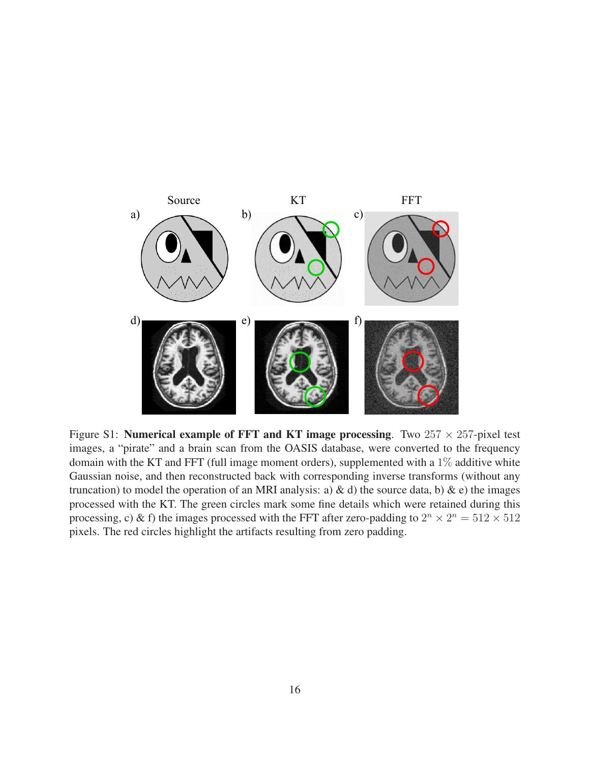

<span id="page-15-0"></span>Figure S1: **Numerical example of FFT and KT image processing**. Two  $257 \times 257$ -pixel test images, a "pirate" and a brain scan from the OASIS database, were converted to the frequency domain with the KT and FFT (full image moment orders), supplemented with a  $1\%$  additive white Gaussian noise, and then reconstructed back with corresponding inverse transforms (without any truncation) to model the operation of an MRI analysis: a) & d) the source data, b) & e) the images processed with the KT. The green circles mark some fine details which were retained during this processing, c) & f) the images processed with the FFT after zero-padding to  $2^n \times 2^n = 512 \times 512$ pixels. The red circles highlight the artifacts resulting from zero padding.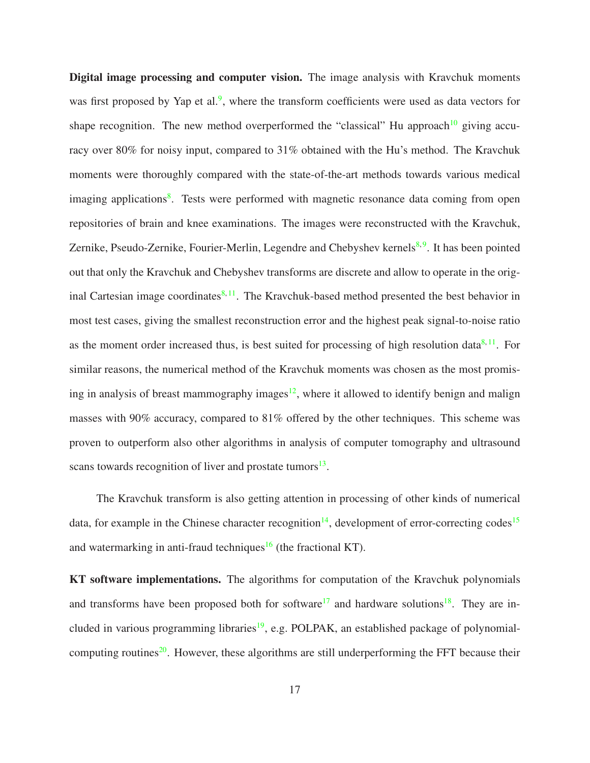Digital image processing and computer vision. The image analysis with Kravchuk moments was first proposed by Yap et al.<sup>[9](#page-40-0)</sup>, where the transform coefficients were used as data vectors for shape recognition. The new method overperformed the "classical" Hu approach<sup>[10](#page-40-9)</sup> giving accuracy over 80% for noisy input, compared to 31% obtained with the Hu's method. The Kravchuk moments were thoroughly compared with the state-of-the-art methods towards various medical imaging applications<sup>[8](#page-40-8)</sup>. Tests were performed with magnetic resonance data coming from open repositories of brain and knee examinations. The images were reconstructed with the Kravchuk, Zernike, Pseudo-Zernike, Fourier-Merlin, Legendre and Chebyshev kernels<sup>[8,](#page-40-8)[9](#page-40-0)</sup>. It has been pointed out that only the Kravchuk and Chebyshev transforms are discrete and allow to operate in the original Cartesian image coordinates $8,11$  $8,11$ . The Kravchuk-based method presented the best behavior in most test cases, giving the smallest reconstruction error and the highest peak signal-to-noise ratio as the moment order increased thus, is best suited for processing of high resolution data $8,11$  $8,11$ . For similar reasons, the numerical method of the Kravchuk moments was chosen as the most promis-ing in analysis of breast mammography images<sup>[12](#page-41-1)</sup>, where it allowed to identify benign and malign masses with 90% accuracy, compared to 81% offered by the other techniques. This scheme was proven to outperform also other algorithms in analysis of computer tomography and ultrasound scans towards recognition of liver and prostate tumors<sup>[13](#page-41-2)</sup>.

The Kravchuk transform is also getting attention in processing of other kinds of numerical data, for example in the Chinese character recognition<sup>[14](#page-41-3)</sup>, development of error-correcting codes<sup>[15](#page-41-4)</sup> and watermarking in anti-fraud techniques<sup>[16](#page-41-5)</sup> (the fractional KT).

KT software implementations. The algorithms for computation of the Kravchuk polynomials and transforms have been proposed both for software<sup>[17](#page-41-6)</sup> and hardware solutions<sup>[18](#page-41-7)</sup>. They are in-cluded in various programming libraries<sup>[19](#page-42-3)</sup>, e.g. POLPAK, an established package of polynomial-computing routines<sup>[20](#page-42-4)</sup>. However, these algorithms are still underperforming the FFT because their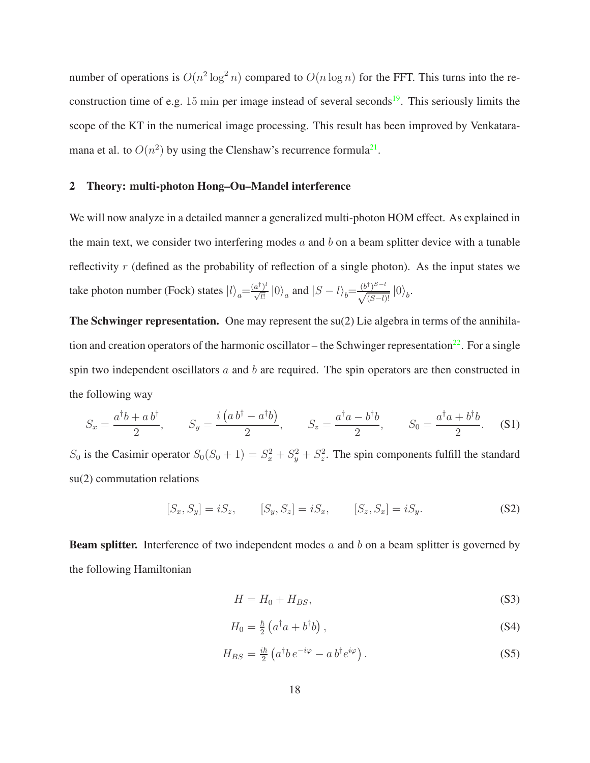number of operations is  $O(n^2 \log^2 n)$  compared to  $O(n \log n)$  for the FFT. This turns into the re-construction time of e.g. 15 min per image instead of several seconds<sup>[19](#page-42-3)</sup>. This seriously limits the scope of the KT in the numerical image processing. This result has been improved by Venkataramana et al. to  $O(n^2)$  by using the Clenshaw's recurrence formula<sup>[21](#page-42-1)</sup>.

#### 2 Theory: multi-photon Hong–Ou–Mandel interference

We will now analyze in a detailed manner a generalized multi-photon HOM effect. As explained in the main text, we consider two interfering modes  $a$  and  $b$  on a beam splitter device with a tunable reflectivity r (defined as the probability of reflection of a single photon). As the input states we take photon number (Fock) states  $|l\rangle_a = \frac{(a^{\dagger})^l}{\sqrt{l!}}$  $\frac{a^{\dagger}\right)^l}{\sqrt{l!}}\ket{0}_a$  and  $\ket{S-l}_b = \frac{(b^{\dagger})^{S-l}}{\sqrt{(S-l)!}}\ket{0}_b$ .

The Schwinger representation. One may represent the su(2) Lie algebra in terms of the annihila-tion and creation operators of the harmonic oscillator – the Schwinger representation<sup>[22](#page-42-5)</sup>. For a single spin two independent oscillators  $a$  and  $b$  are required. The spin operators are then constructed in the following way

$$
S_x = \frac{a^{\dagger}b + a b^{\dagger}}{2}, \qquad S_y = \frac{i(a b^{\dagger} - a^{\dagger}b)}{2}, \qquad S_z = \frac{a^{\dagger}a - b^{\dagger}b}{2}, \qquad S_0 = \frac{a^{\dagger}a + b^{\dagger}b}{2}.
$$
 (S1)

 $S_0$  is the Casimir operator  $S_0(S_0 + 1) = S_x^2 + S_y^2 + S_z^2$ . The spin components fulfill the standard su(2) commutation relations

$$
[S_x, S_y] = iS_z, \t [S_y, S_z] = iS_x, \t [S_z, S_x] = iS_y.
$$
 (S2)

**Beam splitter.** Interference of two independent modes a and b on a beam splitter is governed by the following Hamiltonian

$$
H = H_0 + H_{BS},\tag{S3}
$$

$$
H_0 = \frac{\hbar}{2} \left( a^\dagger a + b^\dagger b \right),\tag{S4}
$$

$$
H_{BS} = \frac{i\hbar}{2} \left( a^{\dagger} b \, e^{-i\varphi} - a \, b^{\dagger} e^{i\varphi} \right). \tag{S5}
$$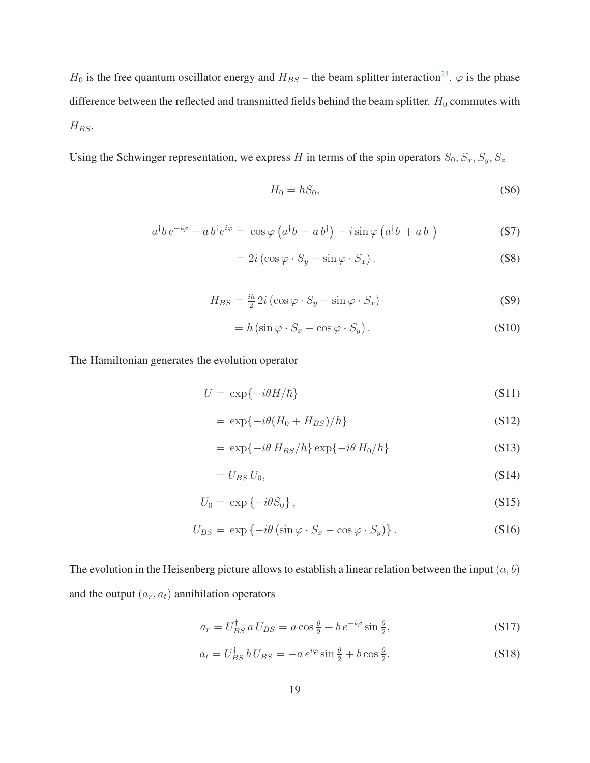$H_0$  is the free quantum oscillator energy and  $H_{BS}$  – the beam splitter interaction<sup>[23](#page-42-2)</sup>.  $\varphi$  is the phase difference between the reflected and transmitted fields behind the beam splitter.  $H_0$  commutes with  $H_{BS}$ .

Using the Schwinger representation, we express H in terms of the spin operators  $S_0$ ,  $S_x$ ,  $S_y$ ,  $S_z$ 

$$
H_0 = \hbar S_0,\tag{S6}
$$

$$
a^{\dagger}b e^{-i\varphi} - a b^{\dagger} e^{i\varphi} = \cos\varphi \left( a^{\dagger} b - a b^{\dagger} \right) - i \sin\varphi \left( a^{\dagger} b + a b^{\dagger} \right)
$$
 (S7)

$$
= 2i\left(\cos\varphi \cdot S_y - \sin\varphi \cdot S_x\right). \tag{S8}
$$

$$
H_{BS} = \frac{i\hbar}{2} 2i \left( \cos \varphi \cdot S_y - \sin \varphi \cdot S_x \right) \tag{S9}
$$

$$
= \hbar \left( \sin \varphi \cdot S_x - \cos \varphi \cdot S_y \right). \tag{S10}
$$

The Hamiltonian generates the evolution operator

$$
U = \exp\{-i\theta H/\hbar\} \tag{S11}
$$

$$
= \exp\{-i\theta(H_0 + H_{BS})/\hbar\} \tag{S12}
$$

$$
= \exp\{-i\theta \, H_{BS}/\hbar\} \exp\{-i\theta \, H_0/\hbar\} \tag{S13}
$$

$$
=U_{BS}U_0,\t\t(S14)
$$

$$
U_0 = \exp\left\{-i\theta S_0\right\},\tag{S15}
$$

$$
U_{BS} = \exp\left\{-i\theta\left(\sin\varphi \cdot S_x - \cos\varphi \cdot S_y\right)\right\}.
$$
 (S16)

The evolution in the Heisenberg picture allows to establish a linear relation between the input  $(a, b)$ and the output  $(a_r, a_t)$  annihilation operators

$$
a_r = U_{BS}^{\dagger} \, a \, U_{BS} = a \cos \frac{\theta}{2} + b \, e^{-i\varphi} \sin \frac{\theta}{2},\tag{S17}
$$

$$
a_t = U_{BS}^{\dagger} b U_{BS} = -a e^{i\varphi} \sin\frac{\theta}{2} + b \cos\frac{\theta}{2}.
$$
 (S18)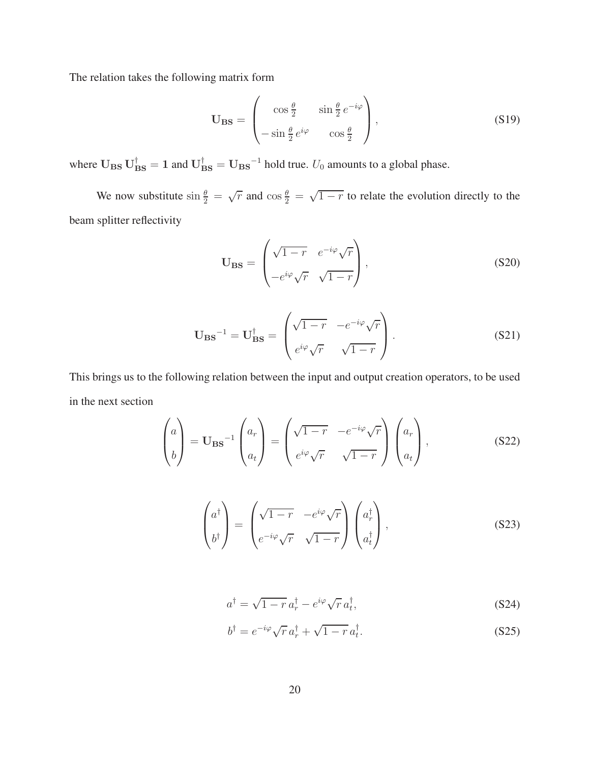The relation takes the following matrix form

$$
\mathbf{U}_{\mathbf{B}\mathbf{S}} = \begin{pmatrix} \cos\frac{\theta}{2} & \sin\frac{\theta}{2}e^{-i\varphi} \\ -\sin\frac{\theta}{2}e^{i\varphi} & \cos\frac{\theta}{2} \end{pmatrix},\tag{S19}
$$

where  $U_{BS}U_{BS}^{\dagger}=1$  and  $U_{BS}^{\dagger}=U_{BS}^{-1}$  hold true.  $U_0$  amounts to a global phase.

We now substitute  $\sin \frac{\theta}{2} = \sqrt{r}$  and  $\cos \frac{\theta}{2} = \sqrt{1-r}$  to relate the evolution directly to the beam splitter reflectivity

$$
\mathbf{U}_{\mathbf{B}\mathbf{S}} = \begin{pmatrix} \sqrt{1-r} & e^{-i\varphi}\sqrt{r} \\ -e^{i\varphi}\sqrt{r} & \sqrt{1-r} \end{pmatrix},
$$
\n(S20)

$$
\mathbf{U}_{\mathbf{B}\mathbf{S}}^{-1} = \mathbf{U}_{\mathbf{B}\mathbf{S}}^{\dagger} = \begin{pmatrix} \sqrt{1-r} & -e^{-i\varphi}\sqrt{r} \\ e^{i\varphi}\sqrt{r} & \sqrt{1-r} \end{pmatrix} . \tag{S21}
$$

This brings us to the following relation between the input and output creation operators, to be used in the next section

$$
\begin{pmatrix} a \\ b \end{pmatrix} = \mathbf{U}_{\mathbf{B}\mathbf{S}}^{-1} \begin{pmatrix} a_r \\ a_t \end{pmatrix} = \begin{pmatrix} \sqrt{1-r} & -e^{-i\varphi}\sqrt{r} \\ e^{i\varphi}\sqrt{r} & \sqrt{1-r} \end{pmatrix} \begin{pmatrix} a_r \\ a_t \end{pmatrix},
$$
(S22)

$$
\begin{pmatrix} a^{\dagger} \\ b^{\dagger} \end{pmatrix} = \begin{pmatrix} \sqrt{1-r} & -e^{i\varphi}\sqrt{r} \\ e^{-i\varphi}\sqrt{r} & \sqrt{1-r} \end{pmatrix} \begin{pmatrix} a_r^{\dagger} \\ a_t^{\dagger} \end{pmatrix},
$$
(S23)

$$
a^{\dagger} = \sqrt{1 - r} a_r^{\dagger} - e^{i\varphi} \sqrt{r} a_t^{\dagger}, \qquad (S24)
$$

$$
b^{\dagger} = e^{-i\varphi} \sqrt{r} a_r^{\dagger} + \sqrt{1 - r} a_t^{\dagger}.
$$
 (S25)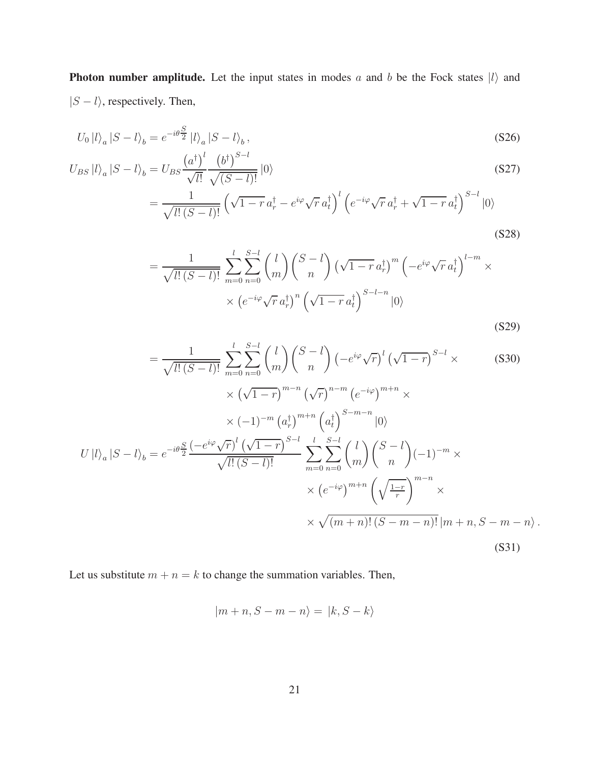**Photon number amplitude.** Let the input states in modes a and b be the Fock states  $|l\rangle$  and  $|S - l\rangle$ , respectively. Then,

$$
U_0 |l\rangle_a |S - l\rangle_b = e^{-i\theta \frac{S}{2}} |l\rangle_a |S - l\rangle_b, \qquad (S26)
$$

$$
U_{BS} |l\rangle_a |S - l\rangle_b = U_{BS} \frac{\left(a^{\dagger}\right)^l}{\sqrt{l!}} \frac{\left(b^{\dagger}\right)^{S-l}}{\sqrt{(S-l)!}} |0\rangle
$$
\n
$$
(S27)
$$

$$
=\frac{1}{\sqrt{l!(S-l)!}}\left(\sqrt{1-r}a_r^{\dagger}-e^{i\varphi}\sqrt{r}a_t^{\dagger}\right)^l\left(e^{-i\varphi}\sqrt{r}a_r^{\dagger}+\sqrt{1-r}a_t^{\dagger}\right)^{S-l}|0\rangle
$$
\n(S28)

$$
= \frac{1}{\sqrt{l!(S-l)!}} \sum_{m=0}^{l} \sum_{n=0}^{S-l} {l \choose m} {S-l \choose n} \left(\sqrt{1-r} a_r^{\dagger}\right)^m \left(-e^{i\varphi} \sqrt{r} a_t^{\dagger}\right)^{l-m} \times
$$

$$
\times \left(e^{-i\varphi} \sqrt{r} a_r^{\dagger}\right)^n \left(\sqrt{1-r} a_t^{\dagger}\right)^{S-l-n} |0\rangle
$$
(S29)

$$
= \frac{1}{\sqrt{l!(S-l)!}} \sum_{m=0}^{l} \sum_{n=0}^{S-l} {l \choose m} {S-l \choose n} \left( -e^{i\varphi} \sqrt{r} \right)^l \left( \sqrt{1-r} \right)^{S-l} \times \qquad (S30)
$$
  
 
$$
\times \left( \sqrt{1-r} \right)^{m-n} \left( \sqrt{r} \right)^{n-m} \left( e^{-i\varphi} \right)^{m+n} \times \qquad \qquad \times (-1)^{-m} \left( a_r^{\dagger} \right)^{m+n} \left( a_r^{\dagger} \right)^{S-m-n} |0\rangle
$$
  
 
$$
U |l\rangle_a |S-l\rangle_b = e^{-i\theta \frac{S}{2}} \frac{\left( -e^{i\varphi} \sqrt{r} \right)^l \left( \sqrt{1-r} \right)^{S-l}}{\sqrt{l!(S-l)!}} \sum_{m=0}^{l} \sum_{n=0}^{S-l} {l \choose m} {S-l \choose n} (-1)^{-m} \times \qquad \qquad \times (e^{-i\varphi})^{m+n} \left( \sqrt{\frac{1-r}{r}} \right)^{m-n} \times \qquad \qquad \times \sqrt{(m+n)!(S-m-n)!} \left| m+n, S-m-n \right\rangle . \qquad (S31)
$$

Let us substitute  $m + n = k$  to change the summation variables. Then,

$$
|m+n, S-m-n\rangle = |k, S-k\rangle
$$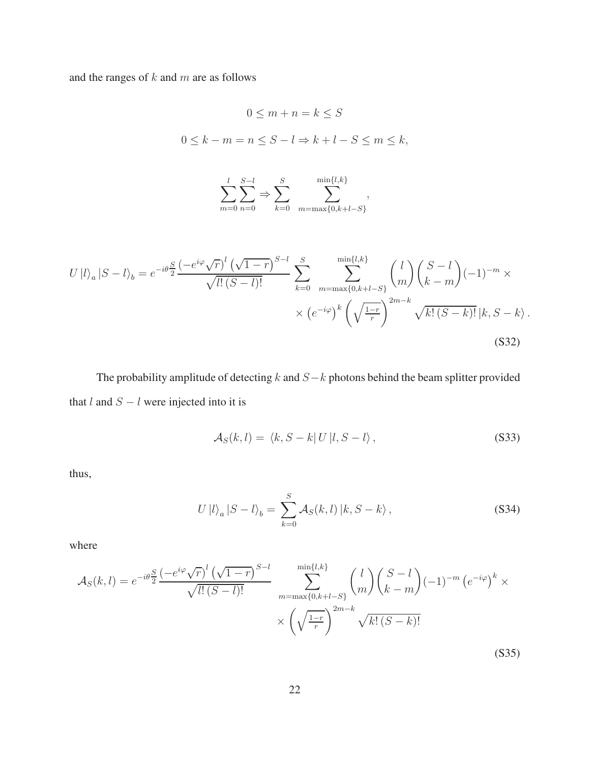and the ranges of  $k$  and  $m$  are as follows

$$
0 \le m + n = k \le S
$$
  
\n
$$
0 \le k - m = n \le S - l \Rightarrow k + l - S \le m \le k,
$$
  
\n
$$
\sum_{m=0}^{l} \sum_{n=0}^{S-l} \Rightarrow \sum_{k=0}^{S} \sum_{m=\max\{0,k+l-S\}}^{\min\{l,k\}},
$$
  
\n
$$
U|l\rangle_a|S-l\rangle_b = e^{-i\theta \frac{S}{2}} \frac{(-e^{i\varphi}\sqrt{r})^l(\sqrt{1-r})^{S-l}}{\sqrt{l!(S-l)!}} \sum_{k=0}^{S} \sum_{m=\max\{0,k+l-S\}}^{\min\{l,k\}} {l \choose m} {S-l \choose k-m} (-1)^{-m} \times
$$
  
\n
$$
\times (e^{-i\varphi})^k \left(\sqrt{\frac{1-r}{r}}\right)^{2m-k} \sqrt{k!(S-k)!} |k, S-k\rangle.
$$
  
\n(S32)

The probability amplitude of detecting  $k$  and  $S-k$  photons behind the beam splitter provided that  $l$  and  $S - l$  were injected into it is

$$
\mathcal{A}_S(k,l) = \langle k, S-k | U | l, S-l \rangle, \qquad (S33)
$$

thus,

$$
U|l\rangle_a|S-l\rangle_b = \sum_{k=0}^{S} \mathcal{A}_S(k,l)|k,S-k\rangle, \qquad (S34)
$$

where

$$
\mathcal{A}_{S}(k,l) = e^{-i\theta} \frac{S}{2} \frac{\left(-e^{i\varphi}\sqrt{r}\right)^{l}\left(\sqrt{1-r}\right)^{S-l}}{\sqrt{l!(S-l)!}} \sum_{m=\max\{0,k+l-S\}}^{m\text{in}\{l,k\}} \binom{l}{m} \binom{S-l}{k-m} (-1)^{-m} \left(e^{-i\varphi}\right)^{k} \times \left(\sqrt{\frac{1-r}{r}}\right)^{2m-k} \sqrt{k!(S-k)!}
$$
\n
$$
\times \left(\sqrt{\frac{1-r}{r}}\right)^{2m-k} \sqrt{k!(S-k)!}
$$
\n(S35)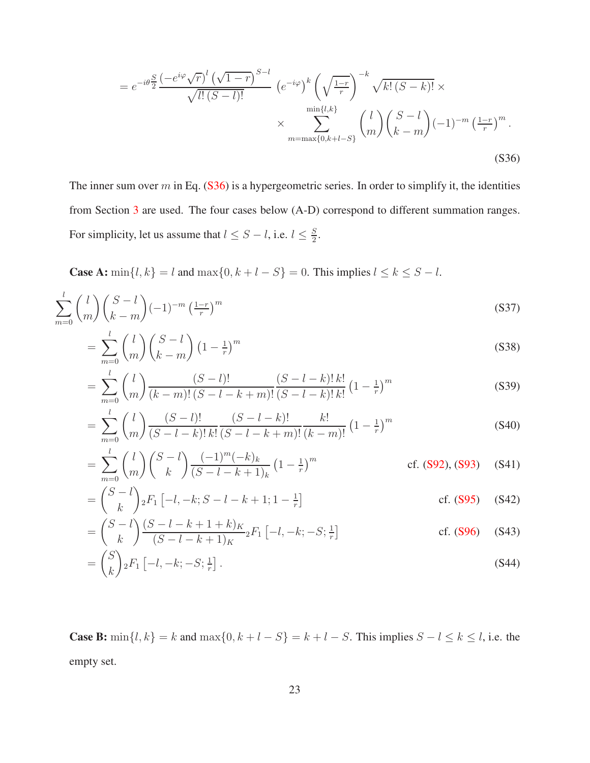<span id="page-22-0"></span>
$$
= e^{-i\theta} \frac{S}{2} \frac{\left(-e^{i\varphi}\sqrt{r}\right)^l \left(\sqrt{1-r}\right)^{S-l}}{\sqrt{l!(S-l)!}} \left(e^{-i\varphi}\right)^k \left(\sqrt{\frac{1-r}{r}}\right)^{-k} \sqrt{k!\left(S-k\right)!} \times \sum_{m=\max\{0,k+l-S\}}^{\min\{l,k\}} \binom{l}{m} \binom{S-l}{k-m} (-1)^{-m} \left(\frac{1-r}{r}\right)^m.
$$
\n
$$
(S36)
$$

The inner sum over  $m$  in Eq. [\(S36\)](#page-22-0) is a hypergeometric series. In order to simplify it, the identities from Section [3](#page-29-0) are used. The four cases below (A-D) correspond to different summation ranges. For simplicity, let us assume that  $l \leq S - l$ , i.e.  $l \leq \frac{S}{2}$  $\frac{S}{2}$ .

**Case A:** min $\{l, k\} = l$  and max $\{0, k + l - S\} = 0$ . This implies  $l \le k \le S - l$ .

$$
\sum_{m=0}^{l} \binom{l}{m} \binom{S-l}{k-m} (-1)^{-m} \left(\frac{1-r}{r}\right)^m \tag{S37}
$$

$$
= \sum_{m=0}^{l} {l \choose m} {S-l \choose k-m} \left(1 - \frac{1}{r}\right)^m
$$
\n
$$
(S38)
$$

$$
= \sum_{m=0}^{l} {l \choose m} \frac{(S-l)!}{(k-m)!(S-l-k+m)!} \frac{(S-l-k)!k!}{(S-l-k)!k!} (1 - \frac{1}{r})^m
$$
(S39)

$$
= \sum_{m=0}^{l} {l \choose m} \frac{(S-l)!}{(S-l-k)! \, k!} \frac{(S-l-k)!}{(S-l-k+m)!} \frac{k!}{(k-m)!} \left(1 - \frac{1}{r}\right)^m
$$
(S40)

$$
= \sum_{m=0}^{l} {l \choose m} {S-l \choose k} \frac{(-1)^m (-k)_k}{(S-l-k+1)_k} \left(1 - \frac{1}{r}\right)^m \qquad \text{cf. (S92), (S93) (S41)}
$$

$$
= {S-l \choose k} {}_{2}F_{1} [-l, -k; S-l-k+1; 1-\frac{1}{r}] \qquad \qquad \text{cf. (S95)} \qquad (S42)
$$

$$
= \binom{S-l}{k} \frac{(S-l-k+1+k)_K}{(S-l-k+1)_K} {}_2F_1 \left[ -l, -k; -S; \frac{1}{r} \right] \qquad \text{cf. (S96)} \quad (S43)
$$

$$
= \binom{S}{k} {}_2F_1 \left[ -l, -k; -S; \frac{1}{r} \right]. \tag{S44}
$$

**Case B:** min $\{l, k\} = k$  and max $\{0, k + l - S\} = k + l - S$ . This implies  $S - l \le k \le l$ , i.e. the empty set.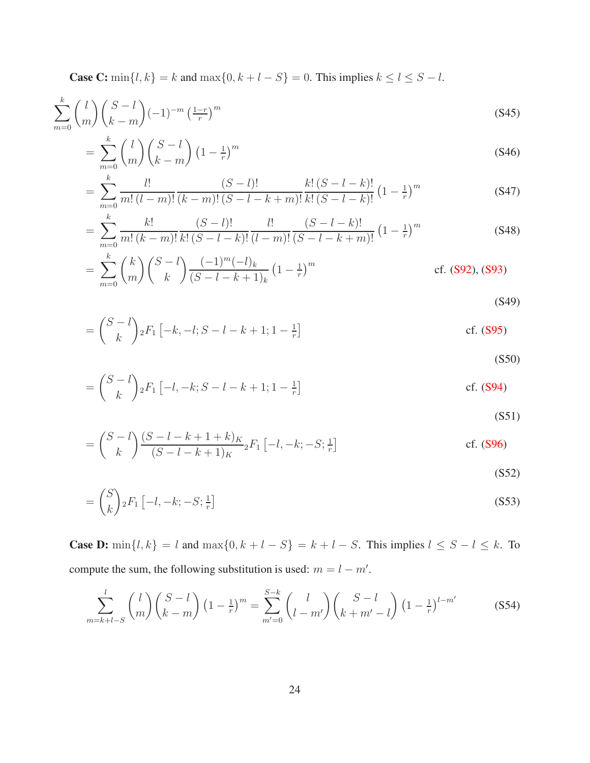**Case C:** min{l, k} = k and max{0, k + l - S} = 0. This implies  $k \le l \le S - l$ .

$$
\sum_{m=0}^{k} \binom{l}{m} \binom{S-l}{k-m} (-1)^{-m} \left(\frac{1-r}{r}\right)^m \tag{S45}
$$

$$
= \sum_{m=0}^{k} {l \choose m} {S-l \choose k-m} (1 - \frac{1}{r})^m
$$
\n
$$
(S46)
$$

$$
= \sum_{m=0}^{k} \frac{l!}{m! (l-m)!} \frac{(S-l)!}{(k-m)! (S-l-k+m)!} \frac{k! (S-l-k)!}{k! (S-l-k)!} (1 - \frac{1}{r})^m
$$
(S47)

$$
= \sum_{m=0}^{k} \frac{k!}{m! (k-m)!} \frac{(S-l)!}{k! (S-l-k)!} \frac{l!}{(l-m)!} \frac{(S-l-k)!}{(S-l-k+m)!} \left(1 - \frac{1}{r}\right)^m
$$
(S48)

$$
= \sum_{m=0}^{k} {k \choose m} {S-l \choose k} \frac{(-1)^m (-l)_k}{(S-l-k+1)_k} \left(1 - \frac{1}{r}\right)^m
$$
 cf. (S92), (S93)

(S49)

$$
= {S-l \choose k} {}_2F_1 [-k, -l; S-l-k+1; 1-\tfrac{1}{r}]
$$
 cf. (S95)

$$
(S50)
$$

$$
= {S-l \choose k} {}_2F_1 [-l, -k; S-l-k+1; 1-\tfrac{1}{r}]
$$
 cf. (S94)

(S51)

$$
= {S-l \choose k} \frac{(S-l-k+1+k)_K}{(S-l-k+1)_K} {}_2F_1 [-l, -k; -S; \frac{1}{r}]
$$
 cf. (S96)

(S52)

$$
= {S \choose k} {}_2F_1 \left[ -l, -k; -S; \frac{1}{r} \right]
$$
\n
$$
(S53)
$$

**Case D:** min $\{l, k\} = l$  and max $\{0, k + l - S\} = k + l - S$ . This implies  $l \leq S - l \leq k$ . To compute the sum, the following substitution is used:  $m = l - m'$ .

$$
\sum_{m=k+l-S}^{l} {l \choose m} {S-l \choose k-m} (1-\tfrac{1}{r})^m = \sum_{m'=0}^{S-k} {l \choose l-m'} {S-l \choose k+m'-l} (1-\tfrac{1}{r})^{l-m'} \tag{S54}
$$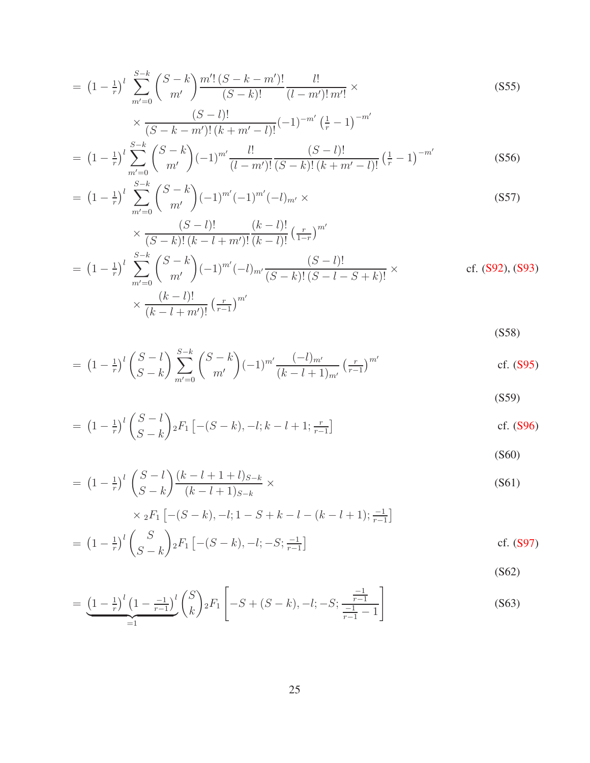$$
= (1 - \frac{1}{r})^l \sum_{m'=0}^{S-k} {S-k \choose m'} \frac{m'! (S-k-m')!}{(S-k)!} \frac{l!}{(l-m')!m'!} \times \frac{(S-1)!}{(S-k-m')! (k+m'-l)!} (-1)^{-m'} (\frac{1}{r} - 1)^{-m'}
$$
(S55)

$$
= (1 - \frac{1}{r})^l \sum_{m'=0}^{S-k} {S-k \choose m'} (-1)^{m'} \frac{l!}{(l-m')!} \frac{(S-l)!}{(S-k)!(k+m'-l)!} \left(\frac{1}{r} - 1\right)^{-m'}
$$
(S56)

$$
= \left(1 - \frac{1}{r}\right)^l \sum_{m'=0}^{S-k} {S-k \choose m'} (-1)^{m'} (-1)^{m'} (-l)_{m'} \times \left( (S57) \right)
$$
\n
$$
(S-l)! \qquad (k-l)! \qquad m'
$$

$$
\times \frac{(S-l)!}{(S-k)!(k-l+m')!} \frac{(k-l)!}{(k-l)!} \left(\frac{r}{1-r}\right)^{m'}
$$
\n
$$
= \left(1 - \frac{1}{r}\right)^l \sum_{m'=0}^{S-k} {S-k \choose m'} (-1)^{m'} (-l)_{m'} \frac{(S-l)!}{(S-k)!(S-l-S+k)!} \times \text{cf. (S92), (S93)}
$$
\n
$$
\times \frac{(k-l)!}{(k-l+m')!} \left(\frac{r}{r-1}\right)^{m'}
$$

(S58)

$$
= (1 - \frac{1}{r})^{l} {S - l \choose S - k} \sum_{m'=0}^{S-k} {S - k \choose m'} (-1)^{m'} \frac{(-l)_{m'}}{(k - l + 1)_{m'}} \left(\frac{r}{r-1}\right)^{m'}
$$
 cf. (S95)

(S59)

$$
= (1 - \frac{1}{r})^{l} {S - l \choose S - k} {}_{2}F_{1} [-(S - k), -l; k - l + 1; \frac{r}{r-1}]
$$
 cf. (S96)

(S60)

$$
= (1 - \frac{1}{r})^{l} \binom{S - l}{S - k} \frac{(k - l + 1 + l)_{S - k}}{(k - l + 1)_{S - k}} \times \frac{(S61)}{\times {}_{2}F_{1}} \left[ -(S - k), -l; 1 - S + k - l - (k - l + 1); \frac{-1}{r - 1} \right]
$$

$$
= (1 - \frac{1}{r})^{l} {S \choose S-k} {}_{2}F_{1} [-(S-k), -l; -S; \frac{-1}{r-1}] \qquad \qquad \text{cf. (S97)}
$$

(S62)

$$
= \underbrace{\left(1 - \frac{1}{r}\right)^l \left(1 - \frac{-1}{r-1}\right)^l}_{=1} {S \choose k} {}_2F_1 \left[-S + (S - k), -l; -S; \frac{\frac{-1}{r-1}}{\frac{-1}{r-1} - 1}\right]
$$
\n(S63)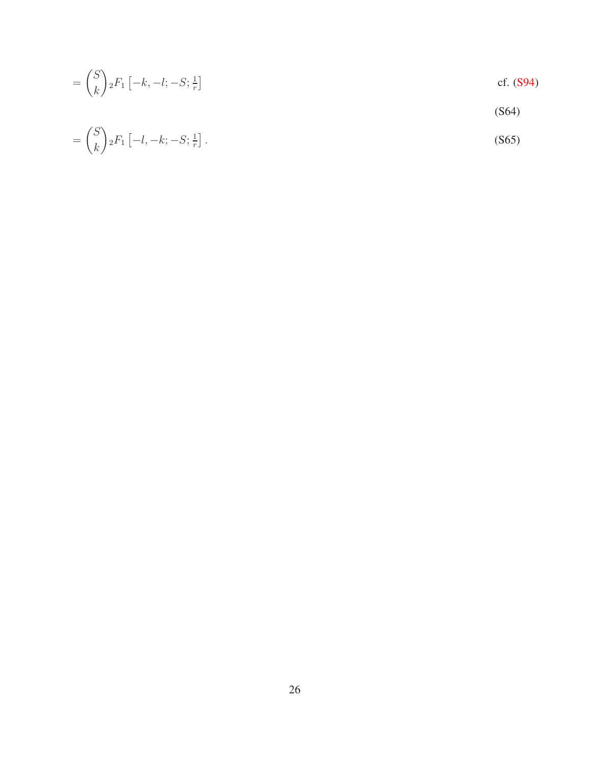$$
= \binom{S}{k} {}_2F_1\left[-k, -l; -S; \frac{1}{r}\right]
$$
 cf. (S94)

$$
(S64)
$$

$$
= \binom{S}{k} {}_2F_1 \left[ -l, -k; -S; \frac{1}{r} \right]. \tag{S65}
$$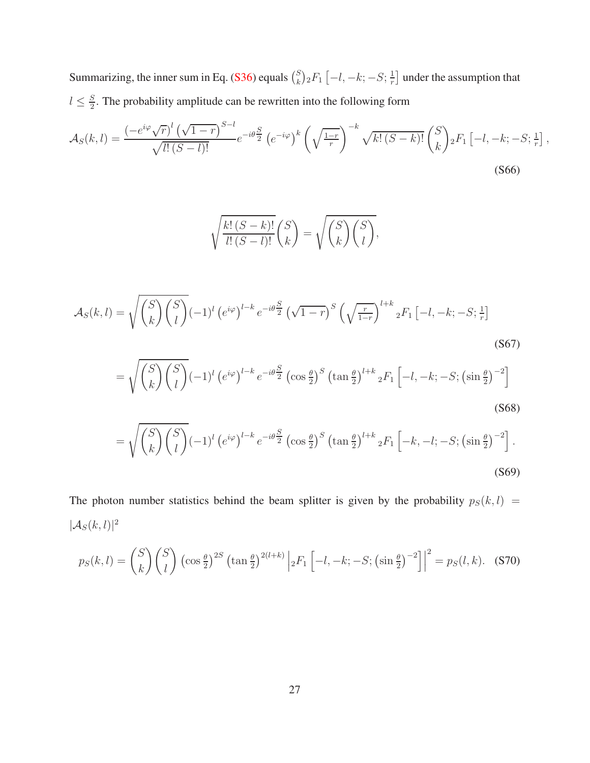Summarizing, the inner sum in Eq. [\(S36\)](#page-22-0) equals  $\binom{S}{k}$  $_{k}^{S}$ <sub>2</sub> $F_{1}$   $\left[-l,-k;-S;\frac{1}{r}\right]$  $\frac{1}{r}$  under the assumption that  $l \leq \frac{S}{2}$  $\frac{S}{2}$ . The probability amplitude can be rewritten into the following form

$$
\mathcal{A}_{S}(k,l) = \frac{\left(-e^{i\varphi}\sqrt{r}\right)^{l}\left(\sqrt{1-r}\right)^{S-l}}{\sqrt{l!(S-l)!}}e^{-i\theta\frac{S}{2}}\left(e^{-i\varphi}\right)^{k}\left(\sqrt{\frac{1-r}{r}}\right)^{-k}\sqrt{k!\left(S-k\right)!}\binom{S}{k}{}_{2}F_{1}\left[-l,-k;-S;\frac{1}{r}\right],\tag{S66}
$$

$$
\sqrt{\frac{k!\,(S-k)!}{l!\,(S-l)!}}\binom{S}{k} = \sqrt{\binom{S}{k}\binom{S}{l}},
$$

<span id="page-26-0"></span> $\overline{\phantom{a}}$ 

$$
\mathcal{A}_{S}(k,l) = \sqrt{\binom{S}{k}\binom{S}{l}} (-1)^{l} \left(e^{i\varphi}\right)^{l-k} e^{-i\theta \frac{S}{2}} \left(\sqrt{1-r}\right)^{S} \left(\sqrt{\frac{r}{1-r}}\right)^{l+k} {}_{2}F_{1}\left[-l,-k;-S;\frac{1}{r}\right]
$$
\n(S67)

$$
= \sqrt{\binom{S}{k}\binom{S}{l}} (-1)^l \left(e^{i\varphi}\right)^{l-k} e^{-i\theta \frac{S}{2}} \left(\cos\frac{\theta}{2}\right)^S \left(\tan\frac{\theta}{2}\right)^{l+k} {}_2F_1 \left[-l, -k; -S; \left(\sin\frac{\theta}{2}\right)^{-2}\right]
$$
\n(S68)

<span id="page-26-1"></span>
$$
= \sqrt{\binom{S}{k}\binom{S}{l}} (-1)^l \left(e^{i\varphi}\right)^{l-k} e^{-i\theta \frac{S}{2}} \left(\cos\frac{\theta}{2}\right)^S \left(\tan\frac{\theta}{2}\right)^{l+k} {}_2F_1 \left[-k, -l; -S; \left(\sin\frac{\theta}{2}\right)^{-2}\right].
$$
\n(S69)

The photon number statistics behind the beam splitter is given by the probability  $p_S(k, l)$  =  $|\mathcal{A}_S(k,l)|^2$ 

$$
p_S(k,l) = {S \choose k} {S \choose l} \left(\cos \frac{\theta}{2}\right)^{2S} \left(\tan \frac{\theta}{2}\right)^{2(l+k)} \left|{}_2F_1 \left[-l, -k; -S; \left(\sin \frac{\theta}{2}\right)^{-2}\right]\right|^2 = p_S(l,k). \tag{S70}
$$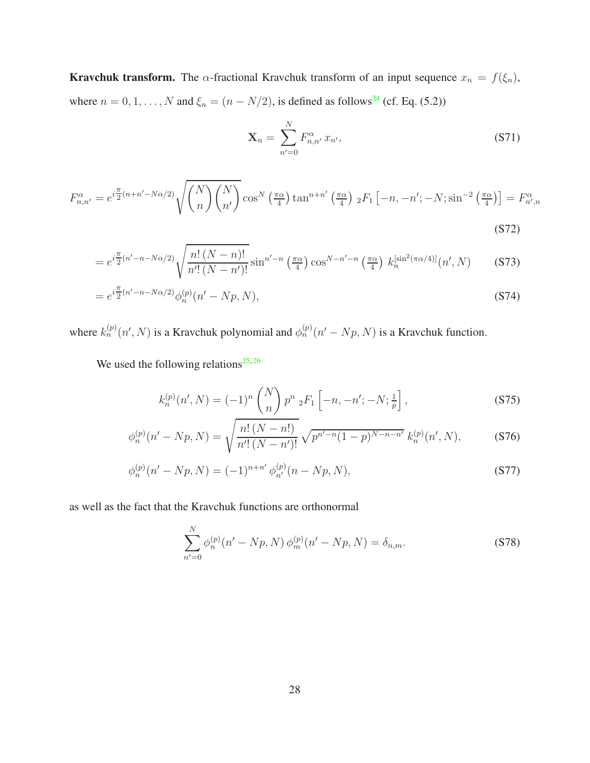**Kravchuk transform.** The  $\alpha$ -fractional Kravchuk transform of an input sequence  $x_n = f(\xi_n)$ , where  $n = 0, 1, ..., N$  and  $\xi_n = (n - N/2)$ , is defined as follows<sup>[24](#page-42-0)</sup> (cf. Eq. (5.2))

<span id="page-27-0"></span>
$$
\mathbf{X}_n = \sum_{n'=0}^{N} F_{n,n'}^{\alpha} x_{n'},
$$
\n(S71)

$$
F_{n,n'}^{\alpha} = e^{i\frac{\pi}{2}(n+n'-N\alpha/2)} \sqrt{\binom{N}{n}\binom{N}{n'}} \cos^N\left(\frac{\pi\alpha}{4}\right) \tan^{n+n'}\left(\frac{\pi\alpha}{4}\right) {}_2F_1\left[-n,-n';-N;\sin^{-2}\left(\frac{\pi\alpha}{4}\right)\right] = F_{n',n}^{\alpha}
$$
\n(S72)

$$
=e^{i\frac{\pi}{2}(n'-n-N\alpha/2)}\sqrt{\frac{n!\left(N-n\right)!}{n'!\left(N-n'\right)!}}\sin^{n'-n}\left(\frac{\pi\alpha}{4}\right)\cos^{N-n'-n}\left(\frac{\pi\alpha}{4}\right)k_n^{\left[\sin^2\left(\pi\alpha/4\right)\right]}(n',N)\tag{S73}
$$

$$
= e^{i\frac{\pi}{2}(n'-n-N\alpha/2)}\phi_n^{(p)}(n'-Np,N),\tag{S74}
$$

where  $k_n^{(p)}(n', N)$  is a Kravchuk polynomial and  $\phi_n^{(p)}(n'-Np, N)$  is a Kravchuk function.

We used the following relations<sup>[25,](#page-42-6)[26](#page-42-7)</sup>

$$
k_n^{(p)}(n',N) = (-1)^n \binom{N}{n} p^n \, {}_2F_1 \left[ -n, -n'; -N; \frac{1}{p} \right],\tag{S75}
$$

$$
\phi_n^{(p)}(n'-Np,N) = \sqrt{\frac{n! \ (N-n!)}{n'! \ (N-n)!}} \sqrt{p^{n'-n}(1-p)^{N-n-n'}} \ k_n^{(p)}(n',N),\tag{S76}
$$

$$
\phi_n^{(p)}(n'-Np, N) = (-1)^{n+n'} \phi_{n'}^{(p)}(n-Np, N), \tag{S77}
$$

as well as the fact that the Kravchuk functions are orthonormal

$$
\sum_{n'=0}^{N} \phi_n^{(p)}(n'-Np, N) \phi_m^{(p)}(n'-Np, N) = \delta_{n,m}.
$$
 (S78)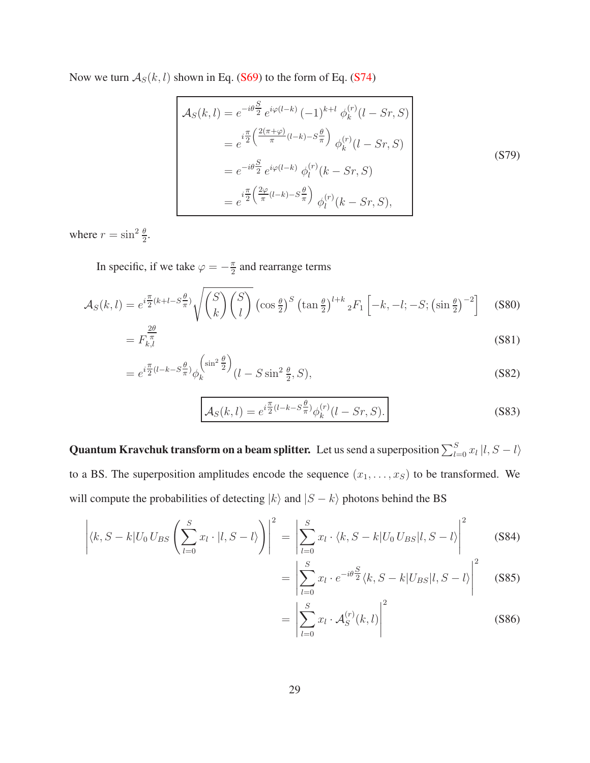Now we turn  $A_S(k, l)$  shown in Eq. [\(S69\)](#page-26-0) to the form of Eq. [\(S74\)](#page-27-0)

$$
\mathcal{A}_{S}(k,l) = e^{-i\theta} \frac{S}{2} e^{i\varphi(l-k)} (-1)^{k+l} \phi_{k}^{(r)}(l - S_{r}, S)
$$
  
\n
$$
= e^{i\frac{\pi}{2} \left(\frac{2(\pi + \varphi)}{\pi} (l - k) - S_{\pi}^{\theta}\right)} \phi_{k}^{(r)}(l - S_{r}, S)
$$
  
\n
$$
= e^{-i\theta} \frac{S}{2} e^{i\varphi(l-k)} \phi_{l}^{(r)}(k - S_{r}, S)
$$
  
\n
$$
= e^{i\frac{\pi}{2} \left(\frac{2\varphi}{\pi} (l - k) - S_{\pi}^{\theta}\right)} \phi_{l}^{(r)}(k - S_{r}, S),
$$
\n(S79)

where  $r = \sin^2 \frac{\theta}{2}$ .

In specific, if we take  $\varphi = -\frac{\pi}{2}$  $\frac{\pi}{2}$  and rearrange terms

$$
\mathcal{A}_{S}(k,l) = e^{i\frac{\pi}{2}(k+l-S\frac{\theta}{\pi})} \sqrt{\binom{S}{k}\binom{S}{l}} \left(\cos\frac{\theta}{2}\right)^{S} \left(\tan\frac{\theta}{2}\right)^{l+k} {}_{2}F_{1}\left[-k,-l;-S;\left(\sin\frac{\theta}{2}\right)^{-2}\right] \quad (S80)
$$

$$
=F_{k,l}^{\frac{20}{\pi}}\tag{S81}
$$

$$
=e^{i\frac{\pi}{2}(l-k-S_{\pi}^{\theta})}\phi_k^{\left(\sin^2\frac{\theta}{2}\right)}(l-S\sin^2\frac{\theta}{2},S),\tag{S82}
$$

$$
\mathcal{A}_S(k,l) = e^{i\frac{\pi}{2}(l-k-S\frac{\theta}{\pi})} \phi_k^{(r)}(l-Sr, S).
$$
\n(S83)

**Quantum Kravchuk transform on a beam splitter.** Let us send a superposition  $\sum_{l=0}^{S} x_l |l, S-l\rangle$ to a BS. The superposition amplitudes encode the sequence  $(x_1, \ldots, x_S)$  to be transformed. We will compute the probabilities of detecting  $|k\rangle$  and  $|S - k\rangle$  photons behind the BS

$$
\left| \langle k, S - k | U_0 U_{BS} \left( \sum_{l=0}^S x_l \cdot | l, S - l \rangle \right) \right|^2 = \left| \sum_{l=0}^S x_l \cdot \langle k, S - k | U_0 U_{BS} | l, S - l \rangle \right|^2 \tag{S84}
$$

$$
= \left| \sum_{l=0}^{S} x_l \cdot e^{-i\theta} \frac{S}{2} \langle k, S - k | U_{BS} | l, S - l \rangle \right|^2 \quad (S85)
$$

$$
= \left| \sum_{l=0}^{S} x_l \cdot \mathcal{A}_S^{(r)}(k,l) \right|^2 \tag{S86}
$$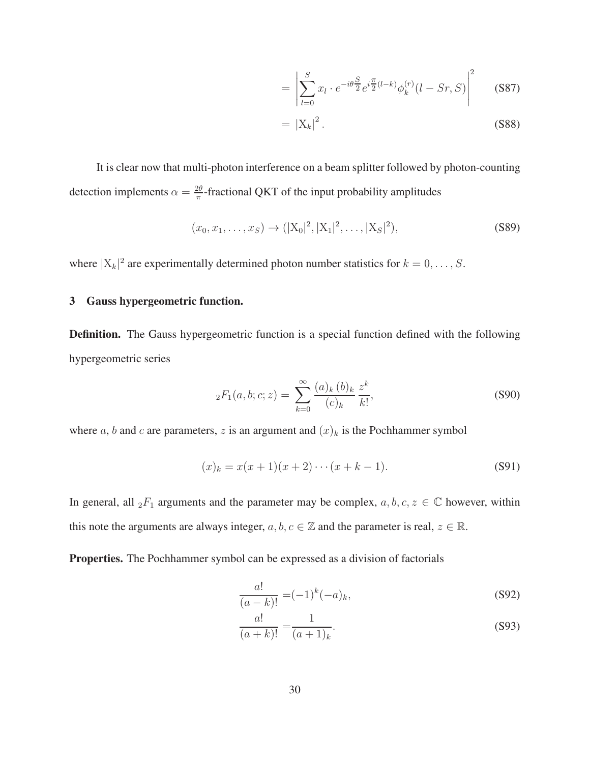$$
= \left| \sum_{l=0}^{S} x_l \cdot e^{-i\theta \frac{S}{2}} e^{i\frac{\pi}{2}(l-k)} \phi_k^{(r)}(l - Sr, S) \right|^2 \tag{S87}
$$

$$
= |X_k|^2. \tag{S88}
$$

It is clear now that multi-photon interference on a beam splitter followed by photon-counting detection implements  $\alpha = \frac{2\theta}{\pi}$  $\frac{2\theta}{\pi}$ -fractional QKT of the input probability amplitudes

$$
(x_0, x_1, \dots, x_S) \to (|X_0|^2, |X_1|^2, \dots, |X_S|^2),
$$
\n(S89)

<span id="page-29-0"></span>where  $|X_k|^2$  are experimentally determined photon number statistics for  $k = 0, \ldots, S$ .

### 3 Gauss hypergeometric function.

Definition. The Gauss hypergeometric function is a special function defined with the following hypergeometric series

<span id="page-29-3"></span>
$$
{}_{2}F_{1}(a,b;c;z) = \sum_{k=0}^{\infty} \frac{(a)_{k}(b)_{k}}{(c)_{k}} \frac{z^{k}}{k!},
$$
\n(S90)

where a, b and c are parameters, z is an argument and  $(x)_k$  is the Pochhammer symbol

$$
(x)_k = x(x+1)(x+2)\cdots(x+k-1).
$$
 (S91)

In general, all  ${}_2F_1$  arguments and the parameter may be complex,  $a, b, c, z \in \mathbb{C}$  however, within this note the arguments are always integer,  $a, b, c \in \mathbb{Z}$  and the parameter is real,  $z \in \mathbb{R}$ .

Properties. The Pochhammer symbol can be expressed as a division of factorials

<span id="page-29-1"></span>
$$
\frac{a!}{(a-k)!} = (-1)^k (-a)_k,
$$
\n(S92)

<span id="page-29-2"></span>
$$
\frac{a!}{(a+k)!} = \frac{1}{(a+1)_k}.
$$
 (S93)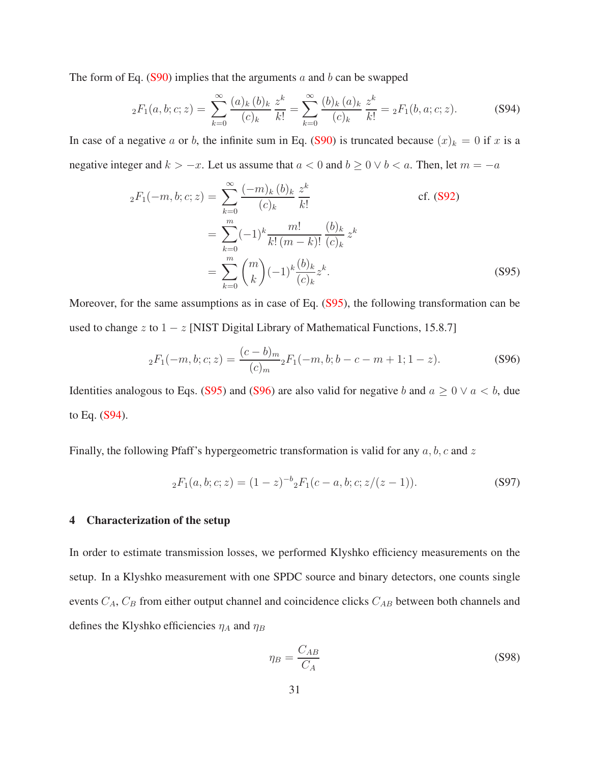The form of Eq.  $(S90)$  implies that the arguments a and b can be swapped

<span id="page-30-2"></span>
$$
{}_2F_1(a,b;c;z) = \sum_{k=0}^{\infty} \frac{(a)_k (b)_k}{(c)_k} \frac{z^k}{k!} = \sum_{k=0}^{\infty} \frac{(b)_k (a)_k}{(c)_k} \frac{z^k}{k!} = {}_2F_1(b,a;c;z). \tag{S94}
$$

In case of a negative a or b, the infinite sum in Eq. [\(S90\)](#page-29-3) is truncated because  $(x)_k = 0$  if x is a negative integer and  $k > -x$ . Let us assume that  $a < 0$  and  $b \ge 0 \vee b < a$ . Then, let  $m = -a$ 

$$
{}_{2}F_{1}(-m, b; c; z) = \sum_{k=0}^{\infty} \frac{(-m)_{k} (b)_{k}}{(c)_{k}} \frac{z^{k}}{k!}
$$
 cf. (S92)  

$$
= \sum_{k=0}^{m} (-1)^{k} \frac{m!}{k! (m-k)!} \frac{(b)_{k}}{(c)_{k}} z^{k}
$$

$$
= \sum_{k=0}^{m} {m \choose k} (-1)^{k} \frac{(b)_{k}}{(c)_{k}} z^{k}.
$$
 (S95)

Moreover, for the same assumptions as in case of Eq. [\(S95\)](#page-30-0), the following transformation can be used to change z to  $1 - z$  [NIST Digital Library of Mathematical Functions, 15.8.7]

<span id="page-30-1"></span><span id="page-30-0"></span>
$$
{}_2F_1(-m,b;c;z) = \frac{(c-b)_m}{(c)_m} {}_2F_1(-m,b;b-c-m+1;1-z). \tag{S96}
$$

Identities analogous to Eqs. [\(S95\)](#page-30-0) and [\(S96\)](#page-30-1) are also valid for negative b and  $a \geq 0 \vee a < b$ , due to Eq. [\(S94\)](#page-30-2).

<span id="page-30-4"></span>Finally, the following Pfaff's hypergeometric transformation is valid for any  $a, b, c$  and  $z$ 

$$
{}_2F_1(a,b;c;z) = (1-z)^{-b} {}_2F_1(c-a,b;c;z/(z-1)).
$$
\n(S97)

#### 4 Characterization of the setup

In order to estimate transmission losses, we performed Klyshko efficiency measurements on the setup. In a Klyshko measurement with one SPDC source and binary detectors, one counts single events  $C_A$ ,  $C_B$  from either output channel and coincidence clicks  $C_{AB}$  between both channels and defines the Klyshko efficiencies  $\eta_A$  and  $\eta_B$ 

<span id="page-30-3"></span>
$$
\eta_B = \frac{C_{AB}}{C_A} \tag{S98}
$$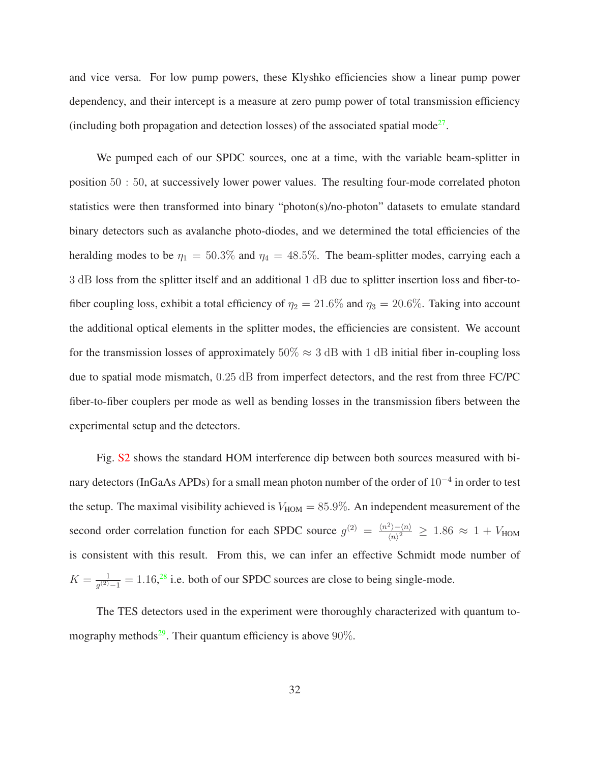and vice versa. For low pump powers, these Klyshko efficiencies show a linear pump power dependency, and their intercept is a measure at zero pump power of total transmission efficiency (including both propagation and detection losses) of the associated spatial mode<sup>[27](#page-42-8)</sup>.

We pumped each of our SPDC sources, one at a time, with the variable beam-splitter in position 50 : 50, at successively lower power values. The resulting four-mode correlated photon statistics were then transformed into binary "photon(s)/no-photon" datasets to emulate standard binary detectors such as avalanche photo-diodes, and we determined the total efficiencies of the heralding modes to be  $\eta_1 = 50.3\%$  and  $\eta_4 = 48.5\%$ . The beam-splitter modes, carrying each a 3 dB loss from the splitter itself and an additional 1 dB due to splitter insertion loss and fiber-tofiber coupling loss, exhibit a total efficiency of  $\eta_2 = 21.6\%$  and  $\eta_3 = 20.6\%$ . Taking into account the additional optical elements in the splitter modes, the efficiencies are consistent. We account for the transmission losses of approximately  $50\% \approx 3$  dB with 1 dB initial fiber in-coupling loss due to spatial mode mismatch,  $0.25$  dB from imperfect detectors, and the rest from three FC/PC fiber-to-fiber couplers per mode as well as bending losses in the transmission fibers between the experimental setup and the detectors.

Fig. [S2](#page-32-0) shows the standard HOM interference dip between both sources measured with binary detectors (InGaAs APDs) for a small mean photon number of the order of  $10^{-4}$  in order to test the setup. The maximal visibility achieved is  $V_{HOM} = 85.9\%$ . An independent measurement of the second order correlation function for each SPDC source  $g^{(2)} = \frac{\langle n^2 \rangle - \langle n \rangle}{\langle n \rangle^2}$  $\frac{\epsilon_{1}-\langle n\rangle}{\langle n\rangle^2} \geq 1.86 \approx 1 + V_{\text{HOM}}$ is consistent with this result. From this, we can infer an effective Schmidt mode number of  $K = \frac{1}{a^{(2)}}$  $\frac{1}{g^{(2)}-1} = 1.16$ ,<sup>[28](#page-42-9)</sup> i.e. both of our SPDC sources are close to being single-mode.

The TES detectors used in the experiment were thoroughly characterized with quantum to-mography methods<sup>[29](#page-43-0)</sup>. Their quantum efficiency is above 90%.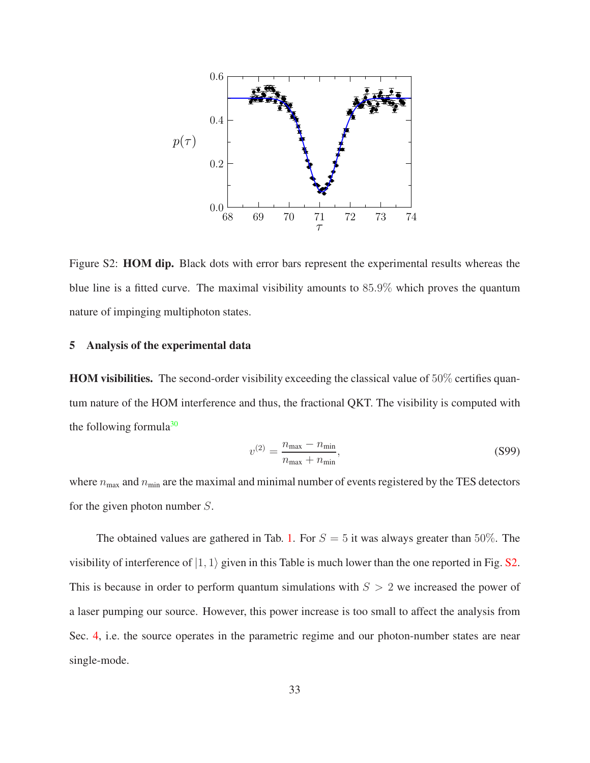

<span id="page-32-0"></span>Figure S2: HOM dip. Black dots with error bars represent the experimental results whereas the blue line is a fitted curve. The maximal visibility amounts to 85.9% which proves the quantum nature of impinging multiphoton states.

### 5 Analysis of the experimental data

HOM visibilities. The second-order visibility exceeding the classical value of 50% certifies quantum nature of the HOM interference and thus, the fractional QKT. The visibility is computed with the following formula $30$ 

$$
v^{(2)} = \frac{n_{\text{max}} - n_{\text{min}}}{n_{\text{max}} + n_{\text{min}}},
$$
\n(S99)

where  $n_{\text{max}}$  and  $n_{\text{min}}$  are the maximal and minimal number of events registered by the TES detectors for the given photon number S.

The obtained values are gathered in Tab. [1.](#page-33-0) For  $S = 5$  it was always greater than 50%. The visibility of interference of  $|1, 1\rangle$  given in this Table is much lower than the one reported in Fig. [S2.](#page-32-0) This is because in order to perform quantum simulations with  $S > 2$  we increased the power of a laser pumping our source. However, this power increase is too small to affect the analysis from Sec. [4,](#page-30-4) i.e. the source operates in the parametric regime and our photon-number states are near single-mode.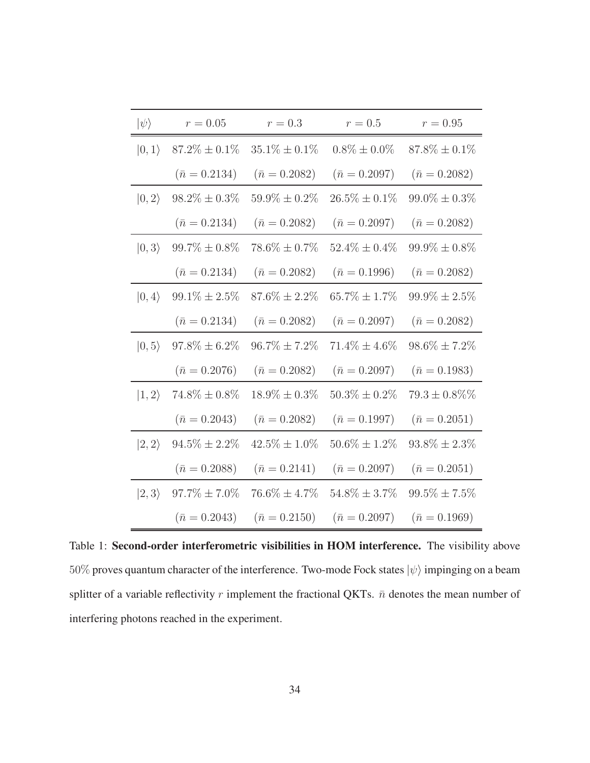| $ \psi\rangle$ | $r = 0.05$           | $r=0.3$              | $r=0.5$              | $r = 0.95$           |
|----------------|----------------------|----------------------|----------------------|----------------------|
| $ 0,1\rangle$  | $87.2\% \pm 0.1\%$   | $35.1\% \pm 0.1\%$   | $0.8\% \pm 0.0\%$    | $87.8\% \pm 0.1\%$   |
|                | $(\bar{n} = 0.2134)$ | $(\bar{n} = 0.2082)$ | $(\bar{n} = 0.2097)$ | $(\bar{n} = 0.2082)$ |
| $ 0,2\rangle$  | $98.2\% \pm 0.3\%$   | $59.9\% \pm 0.2\%$   | $26.5\% \pm 0.1\%$   | $99.0\% \pm 0.3\%$   |
|                | $(\bar{n} = 0.2134)$ | $(\bar{n} = 0.2082)$ | $(\bar{n} = 0.2097)$ | $(\bar{n} = 0.2082)$ |
| $ 0,3\rangle$  | $99.7\%\pm0.8\%$     | $78.6\% \pm 0.7\%$   | $52.4\% \pm 0.4\%$   | $99.9\% \pm 0.8\%$   |
|                | $(\bar{n} = 0.2134)$ | $(\bar{n} = 0.2082)$ | $(\bar{n} = 0.1996)$ | $(\bar{n} = 0.2082)$ |
| $ 0,4\rangle$  | $99.1\% \pm 2.5\%$   | $87.6\% \pm 2.2\%$   | $65.7\% \pm 1.7\%$   | $99.9\% \pm 2.5\%$   |
|                | $(\bar{n} = 0.2134)$ | $(\bar{n} = 0.2082)$ | $(\bar{n} = 0.2097)$ | $(\bar{n} = 0.2082)$ |
| $ 0, 5\rangle$ | $97.8\% \pm 6.2\%$   | $96.7\% \pm 7.2\%$   | $71.4\% \pm 4.6\%$   | $98.6\% \pm 7.2\%$   |
|                | $(\bar{n} = 0.2076)$ | $(\bar{n} = 0.2082)$ | $(\bar{n} = 0.2097)$ | $(\bar{n} = 0.1983)$ |
| $ 1,2\rangle$  | $74.8\% \pm 0.8\%$   | $18.9\% \pm 0.3\%$   | $50.3\% \pm 0.2\%$   | $79.3 \pm 0.8\%$ %   |
|                | $(\bar{n} = 0.2043)$ | $(\bar{n} = 0.2082)$ | $(\bar{n} = 0.1997)$ | $(\bar{n} = 0.2051)$ |
| $ 2,2\rangle$  | $94.5\% \pm 2.2\%$   | $42.5\% \pm 1.0\%$   | $50.6\% \pm 1.2\%$   | $93.8\% \pm 2.3\%$   |
|                | $(\bar{n} = 0.2088)$ | $(\bar{n} = 0.2141)$ | $(\bar{n} = 0.2097)$ | $(\bar{n} = 0.2051)$ |
| $ 2,3\rangle$  | $97.7\% \pm 7.0\%$   | $76.6\% \pm 4.7\%$   | $54.8\% \pm 3.7\%$   | $99.5\% \pm 7.5\%$   |
|                | $(\bar{n} = 0.2043)$ | $(\bar{n} = 0.2150)$ | $(\bar{n} = 0.2097)$ | $(\bar{n} = 0.1969)$ |

<span id="page-33-0"></span>Table 1: Second-order interferometric visibilities in HOM interference. The visibility above 50% proves quantum character of the interference. Two-mode Fock states  $|\psi\rangle$  impinging on a beam splitter of a variable reflectivity r implement the fractional QKTs.  $\bar{n}$  denotes the mean number of interfering photons reached in the experiment.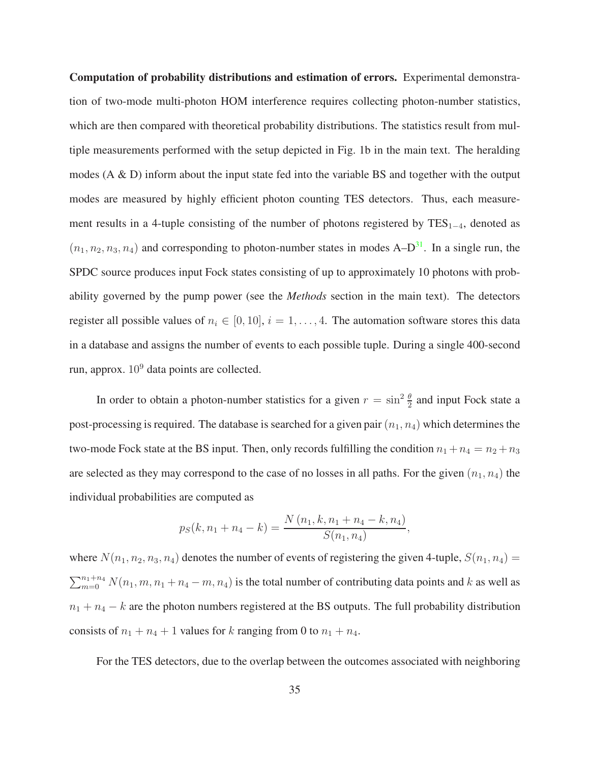Computation of probability distributions and estimation of errors. Experimental demonstration of two-mode multi-photon HOM interference requires collecting photon-number statistics, which are then compared with theoretical probability distributions. The statistics result from multiple measurements performed with the setup depicted in Fig. 1b in the main text. The heralding modes (A & D) inform about the input state fed into the variable BS and together with the output modes are measured by highly efficient photon counting TES detectors. Thus, each measurement results in a 4-tuple consisting of the number of photons registered by  $TES_{1-4}$ , denoted as  $(n_1, n_2, n_3, n_4)$  and corresponding to photon-number states in modes A–D<sup>[31](#page-43-1)</sup>. In a single run, the SPDC source produces input Fock states consisting of up to approximately 10 photons with probability governed by the pump power (see the *Methods* section in the main text). The detectors register all possible values of  $n_i \in [0, 10]$ ,  $i = 1, \ldots, 4$ . The automation software stores this data in a database and assigns the number of events to each possible tuple. During a single 400-second run, approx.  $10^9$  data points are collected.

In order to obtain a photon-number statistics for a given  $r = \sin^2 \frac{\theta}{2}$  and input Fock state a post-processing is required. The database is searched for a given pair  $(n_1, n_4)$  which determines the two-mode Fock state at the BS input. Then, only records fulfilling the condition  $n_1 + n_4 = n_2 + n_3$ are selected as they may correspond to the case of no losses in all paths. For the given  $(n_1, n_4)$  the individual probabilities are computed as

$$
p_S(k, n_1 + n_4 - k) = \frac{N(n_1, k, n_1 + n_4 - k, n_4)}{S(n_1, n_4)},
$$

where  $N(n_1, n_2, n_3, n_4)$  denotes the number of events of registering the given 4-tuple,  $S(n_1, n_4)$  =  $\sum_{m=0}^{n_1+n_4} N(n_1, m, n_1 + n_4 - m, n_4)$  is the total number of contributing data points and k as well as  $n_1 + n_4 - k$  are the photon numbers registered at the BS outputs. The full probability distribution consists of  $n_1 + n_4 + 1$  values for k ranging from 0 to  $n_1 + n_4$ .

For the TES detectors, due to the overlap between the outcomes associated with neighboring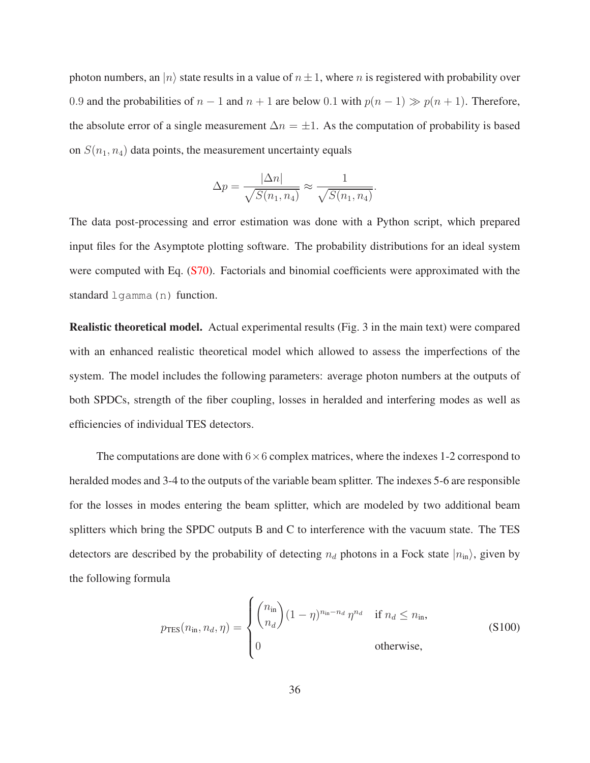photon numbers, an  $|n\rangle$  state results in a value of  $n \pm 1$ , where n is registered with probability over 0.9 and the probabilities of  $n - 1$  and  $n + 1$  are below 0.1 with  $p(n - 1) \gg p(n + 1)$ . Therefore, the absolute error of a single measurement  $\Delta n = \pm 1$ . As the computation of probability is based on  $S(n_1, n_4)$  data points, the measurement uncertainty equals

$$
\Delta p = \frac{|\Delta n|}{\sqrt{S(n_1, n_4)}} \approx \frac{1}{\sqrt{S(n_1, n_4)}}.
$$

The data post-processing and error estimation was done with a Python script, which prepared input files for the Asymptote plotting software. The probability distributions for an ideal system were computed with Eq. [\(S70\)](#page-26-1). Factorials and binomial coefficients were approximated with the standard lgamma(n) function.

Realistic theoretical model. Actual experimental results (Fig. 3 in the main text) were compared with an enhanced realistic theoretical model which allowed to assess the imperfections of the system. The model includes the following parameters: average photon numbers at the outputs of both SPDCs, strength of the fiber coupling, losses in heralded and interfering modes as well as efficiencies of individual TES detectors.

The computations are done with  $6\times 6$  complex matrices, where the indexes 1-2 correspond to heralded modes and 3-4 to the outputs of the variable beam splitter. The indexes 5-6 are responsible for the losses in modes entering the beam splitter, which are modeled by two additional beam splitters which bring the SPDC outputs B and C to interference with the vacuum state. The TES detectors are described by the probability of detecting  $n_d$  photons in a Fock state  $|n_{\rm in}\rangle$ , given by the following formula

<span id="page-35-0"></span>
$$
p_{\text{TES}}(n_{\text{in}}, n_d, \eta) = \begin{cases} \binom{n_{\text{in}}}{n_d} (1 - \eta)^{n_{\text{in}} - n_d} \eta^{n_d} & \text{if } n_d \le n_{\text{in}},\\ 0 & \text{otherwise}, \end{cases}
$$
 (S100)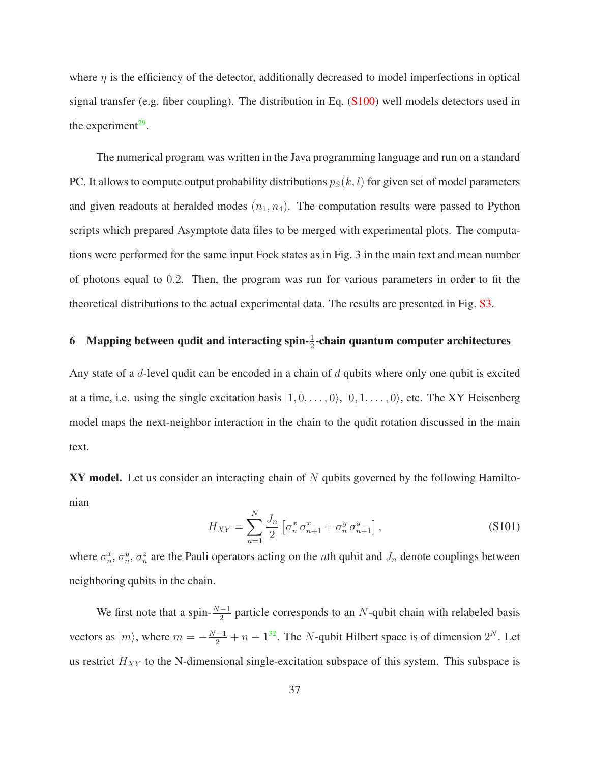where  $\eta$  is the efficiency of the detector, additionally decreased to model imperfections in optical signal transfer (e.g. fiber coupling). The distribution in Eq. [\(S100\)](#page-35-0) well models detectors used in the experiment $^{29}$  $^{29}$  $^{29}$ .

The numerical program was written in the Java programming language and run on a standard PC. It allows to compute output probability distributions  $p_S(k, l)$  for given set of model parameters and given readouts at heralded modes  $(n_1, n_4)$ . The computation results were passed to Python scripts which prepared Asymptote data files to be merged with experimental plots. The computations were performed for the same input Fock states as in Fig. 3 in the main text and mean number of photons equal to 0.2. Then, the program was run for various parameters in order to fit the theoretical distributions to the actual experimental data. The results are presented in Fig. [S3.](#page-37-0)

## 6 Mapping between qudit and interacting spin- $\frac{1}{2}$ -chain quantum computer architectures

Any state of a d-level qudit can be encoded in a chain of d qubits where only one qubit is excited at a time, i.e. using the single excitation basis  $|1, 0, \ldots, 0\rangle$ ,  $|0, 1, \ldots, 0\rangle$ , etc. The XY Heisenberg model maps the next-neighbor interaction in the chain to the qudit rotation discussed in the main text.

**XY model.** Let us consider an interacting chain of  $N$  qubits governed by the following Hamiltonian

$$
H_{XY} = \sum_{n=1}^{N} \frac{J_n}{2} \left[ \sigma_n^x \sigma_{n+1}^x + \sigma_n^y \sigma_{n+1}^y \right],
$$
 (S101)

where  $\sigma_n^x$ ,  $\sigma_n^y$ ,  $\sigma_n^z$  are the Pauli operators acting on the *n*th qubit and  $J_n$  denote couplings between neighboring qubits in the chain.

We first note that a spin- $\frac{N-1}{2}$  particle corresponds to an N-qubit chain with relabeled basis vectors as  $|m\rangle$ , where  $m = -\frac{N-1}{2} + n - 1^{32}$  $m = -\frac{N-1}{2} + n - 1^{32}$  $m = -\frac{N-1}{2} + n - 1^{32}$ . The N-qubit Hilbert space is of dimension  $2^N$ . Let us restrict  $H_{XY}$  to the N-dimensional single-excitation subspace of this system. This subspace is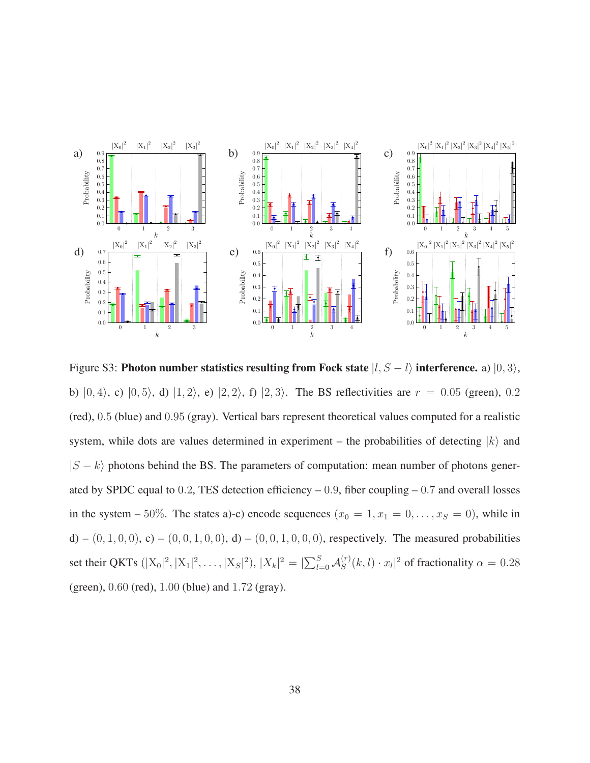

<span id="page-37-0"></span>Figure S3: Photon number statistics resulting from Fock state  $|l, S - l\rangle$  interference. a)  $|0, 3\rangle$ , b)  $|0, 4\rangle$ , c)  $|0, 5\rangle$ , d)  $|1, 2\rangle$ , e)  $|2, 2\rangle$ , f)  $|2, 3\rangle$ . The BS reflectivities are  $r = 0.05$  (green), 0.2 (red), 0.5 (blue) and 0.95 (gray). Vertical bars represent theoretical values computed for a realistic system, while dots are values determined in experiment – the probabilities of detecting  $|k\rangle$  and  $|S - k\rangle$  photons behind the BS. The parameters of computation: mean number of photons generated by SPDC equal to 0.2, TES detection efficiency  $-0.9$ , fiber coupling  $-0.7$  and overall losses in the system – 50%. The states a)-c) encode sequences  $(x_0 = 1, x_1 = 0, \ldots, x_S = 0)$ , while in d) – (0, 1, 0, 0), c) – (0, 0, 1, 0, 0), d) – (0, 0, 1, 0, 0, 0), respectively. The measured probabilities set their QKTs  $(|X_0|^2, |X_1|^2, \dots, |X_S|^2), |X_k|^2 = |\sum_{l=0}^{S} A_S^{(r)}|$  $\int_{S}^{(r)}(k,l)\cdot x_l|^2$  of fractionality  $\alpha = 0.28$ (green), 0.60 (red), 1.00 (blue) and 1.72 (gray).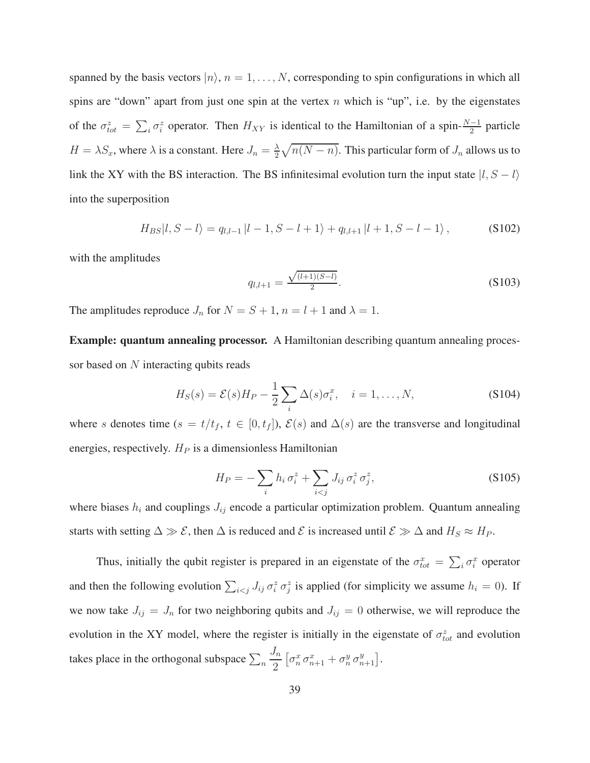spanned by the basis vectors  $|n\rangle$ ,  $n = 1, ..., N$ , corresponding to spin configurations in which all spins are "down" apart from just one spin at the vertex  $n$  which is "up", i.e. by the eigenstates of the  $\sigma_{tot}^z = \sum_i \sigma_i^z$  operator. Then  $H_{XY}$  is identical to the Hamiltonian of a spin- $\frac{N-1}{2}$  particle  $H = \lambda S_x$ , where  $\lambda$  is a constant. Here  $J_n = \frac{\lambda}{2}$  $\frac{\lambda}{2}\sqrt{n(N-n)}$ . This particular form of  $J_n$  allows us to link the XY with the BS interaction. The BS infinitesimal evolution turn the input state  $|l, S - l\rangle$ into the superposition

$$
H_{BS}|l, S-l\rangle = q_{l,l-1}|l-1, S-l+1\rangle + q_{l,l+1}|l+1, S-l-1\rangle, \qquad (S102)
$$

with the amplitudes

$$
q_{l,l+1} = \frac{\sqrt{(l+1)(S-l)}}{2}.
$$
\n(S103)

The amplitudes reproduce  $J_n$  for  $N = S + 1$ ,  $n = l + 1$  and  $\lambda = 1$ .

Example: quantum annealing processor. A Hamiltonian describing quantum annealing processor based on N interacting qubits reads

$$
H_S(s) = \mathcal{E}(s)H_P - \frac{1}{2}\sum_i \Delta(s)\sigma_i^x, \quad i = 1, \dots, N,
$$
\n(S104)

where s denotes time (s = t/t<sub>f</sub>, t ∈ [0, t<sub>f</sub>]),  $\mathcal{E}(s)$  and  $\Delta(s)$  are the transverse and longitudinal energies, respectively.  $H_P$  is a dimensionless Hamiltonian

$$
H_P = -\sum_i h_i \sigma_i^z + \sum_{i < j} J_{ij} \sigma_i^z \sigma_j^z,\tag{S105}
$$

where biases  $h_i$  and couplings  $J_{ij}$  encode a particular optimization problem. Quantum annealing starts with setting  $\Delta \gg \mathcal{E}$ , then  $\Delta$  is reduced and  $\mathcal{E}$  is increased until  $\mathcal{E} \gg \Delta$  and  $H_S \approx H_P$ .

Thus, initially the qubit register is prepared in an eigenstate of the  $\sigma_{tot}^x = \sum_i \sigma_i^x$  operator and then the following evolution  $\sum_{i \le j} J_{ij} \sigma_i^z \sigma_j^z$  is applied (for simplicity we assume  $h_i = 0$ ). If we now take  $J_{ij} = J_n$  for two neighboring qubits and  $J_{ij} = 0$  otherwise, we will reproduce the evolution in the XY model, where the register is initially in the eigenstate of  $\sigma_{tot}^z$  and evolution takes place in the orthogonal subspace  $\sum_n$  $J_n$ 2  $\left[\sigma_n^x\,\sigma_{n+1}^x+\sigma_n^y\,\sigma_{n+1}^y\right]\!.$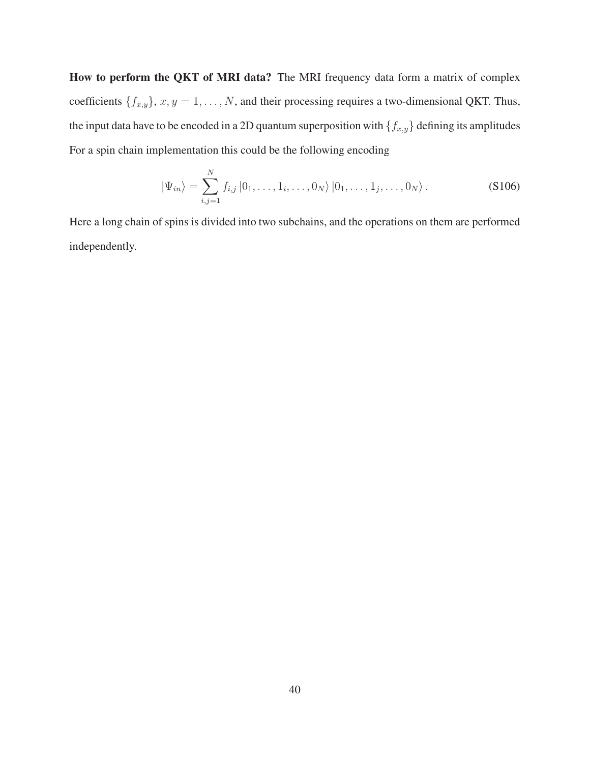How to perform the QKT of MRI data? The MRI frequency data form a matrix of complex coefficients  $\{f_{x,y}\}\$ ,  $x, y = 1, \ldots, N$ , and their processing requires a two-dimensional QKT. Thus, the input data have to be encoded in a 2D quantum superposition with  $\{f_{x,y}\}$  defining its amplitudes For a spin chain implementation this could be the following encoding

$$
|\Psi_{in}\rangle = \sum_{i,j=1}^{N} f_{i,j} |0_1, \dots, 1_i, \dots, 0_N\rangle |0_1, \dots, 1_j, \dots, 0_N\rangle.
$$
 (S106)

Here a long chain of spins is divided into two subchains, and the operations on them are performed independently.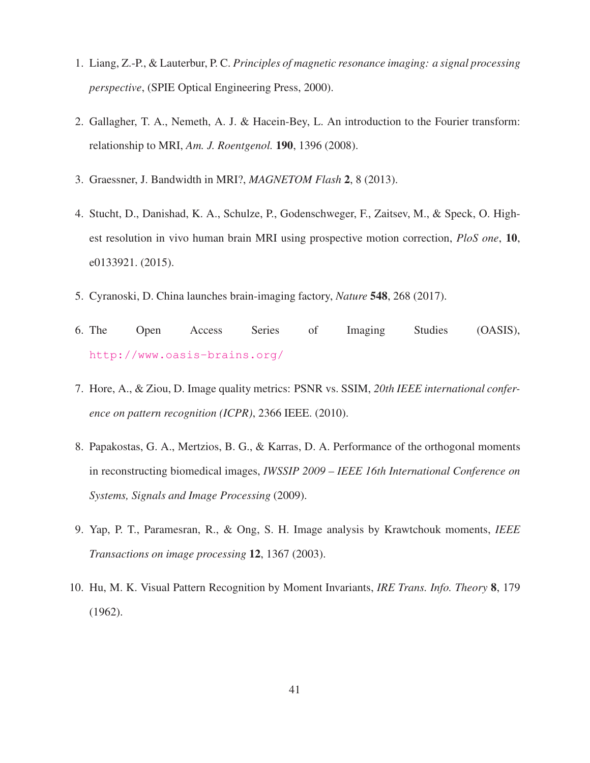- <span id="page-40-3"></span><span id="page-40-2"></span>1. Liang, Z.-P., & Lauterbur, P. C. *Principles of magnetic resonance imaging: a signal processing perspective*, (SPIE Optical Engineering Press, 2000).
- <span id="page-40-4"></span>2. Gallagher, T. A., Nemeth, A. J. & Hacein-Bey, L. An introduction to the Fourier transform: relationship to MRI, *Am. J. Roentgenol.* 190, 1396 (2008).
- <span id="page-40-5"></span>3. Graessner, J. Bandwidth in MRI?, *MAGNETOM Flash* 2, 8 (2013).
- 4. Stucht, D., Danishad, K. A., Schulze, P., Godenschweger, F., Zaitsev, M., & Speck, O. Highest resolution in vivo human brain MRI using prospective motion correction, *PloS one*, 10, e0133921. (2015).
- <span id="page-40-6"></span><span id="page-40-1"></span>5. Cyranoski, D. China launches brain-imaging factory, *Nature* 548, 268 (2017).
- <span id="page-40-7"></span>6. The Open Access Series of Imaging Studies (OASIS), <http://www.oasis-brains.org/>
- <span id="page-40-8"></span>7. Hore, A., & Ziou, D. Image quality metrics: PSNR vs. SSIM, *20th IEEE international conference on pattern recognition (ICPR)*, 2366 IEEE. (2010).
- 8. Papakostas, G. A., Mertzios, B. G., & Karras, D. A. Performance of the orthogonal moments in reconstructing biomedical images, *IWSSIP 2009 – IEEE 16th International Conference on Systems, Signals and Image Processing* (2009).
- <span id="page-40-9"></span><span id="page-40-0"></span>9. Yap, P. T., Paramesran, R., & Ong, S. H. Image analysis by Krawtchouk moments, *IEEE Transactions on image processing* 12, 1367 (2003).
- 10. Hu, M. K. Visual Pattern Recognition by Moment Invariants, *IRE Trans. Info. Theory* 8, 179 (1962).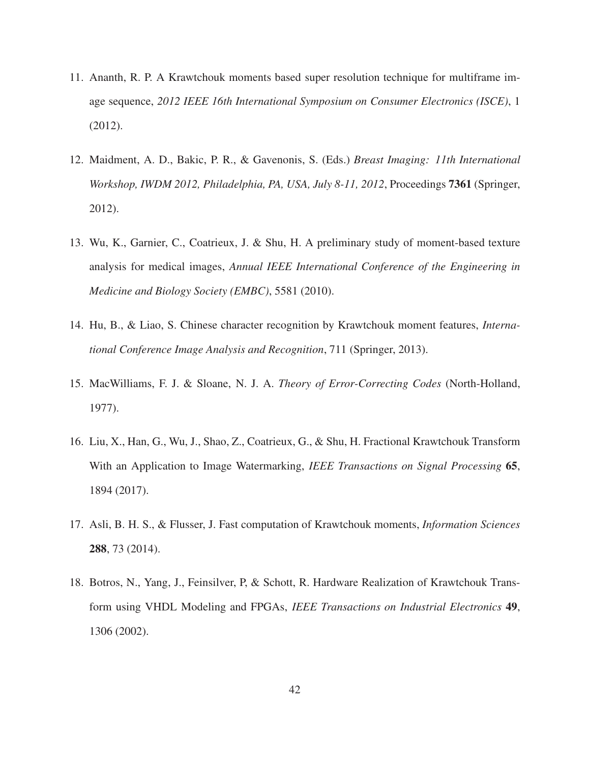- <span id="page-41-0"></span>11. Ananth, R. P. A Krawtchouk moments based super resolution technique for multiframe image sequence, *2012 IEEE 16th International Symposium on Consumer Electronics (ISCE)*, 1 (2012).
- <span id="page-41-1"></span>12. Maidment, A. D., Bakic, P. R., & Gavenonis, S. (Eds.) *Breast Imaging: 11th International Workshop, IWDM 2012, Philadelphia, PA, USA, July 8-11, 2012*, Proceedings 7361 (Springer, 2012).
- <span id="page-41-2"></span>13. Wu, K., Garnier, C., Coatrieux, J. & Shu, H. A preliminary study of moment-based texture analysis for medical images, *Annual IEEE International Conference of the Engineering in Medicine and Biology Society (EMBC)*, 5581 (2010).
- <span id="page-41-4"></span><span id="page-41-3"></span>14. Hu, B., & Liao, S. Chinese character recognition by Krawtchouk moment features, *International Conference Image Analysis and Recognition*, 711 (Springer, 2013).
- <span id="page-41-5"></span>15. MacWilliams, F. J. & Sloane, N. J. A. *Theory of Error-Correcting Codes* (North-Holland, 1977).
- 16. Liu, X., Han, G., Wu, J., Shao, Z., Coatrieux, G., & Shu, H. Fractional Krawtchouk Transform With an Application to Image Watermarking, *IEEE Transactions on Signal Processing* 65, 1894 (2017).
- <span id="page-41-7"></span><span id="page-41-6"></span>17. Asli, B. H. S., & Flusser, J. Fast computation of Krawtchouk moments, *Information Sciences* 288, 73 (2014).
- 18. Botros, N., Yang, J., Feinsilver, P, & Schott, R. Hardware Realization of Krawtchouk Transform using VHDL Modeling and FPGAs, *IEEE Transactions on Industrial Electronics* 49, 1306 (2002).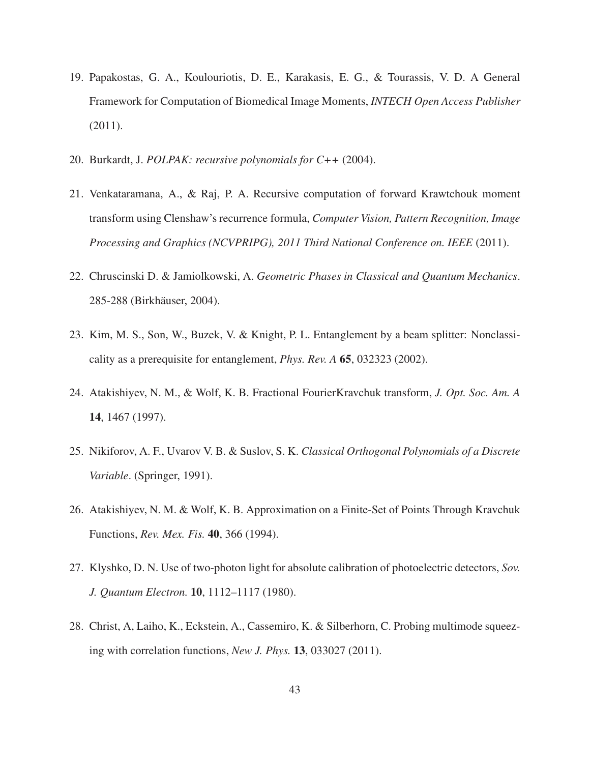- <span id="page-42-3"></span>19. Papakostas, G. A., Koulouriotis, D. E., Karakasis, E. G., & Tourassis, V. D. A General Framework for Computation of Biomedical Image Moments, *INTECH Open Access Publisher* (2011).
- <span id="page-42-4"></span><span id="page-42-1"></span>20. Burkardt, J. *POLPAK: recursive polynomials for C++* (2004).
- 21. Venkataramana, A., & Raj, P. A. Recursive computation of forward Krawtchouk moment transform using Clenshaw's recurrence formula, *Computer Vision, Pattern Recognition, Image Processing and Graphics (NCVPRIPG), 2011 Third National Conference on. IEEE* (2011).
- <span id="page-42-5"></span><span id="page-42-2"></span>22. Chruscinski D. & Jamiolkowski, A. *Geometric Phases in Classical and Quantum Mechanics*. 285-288 (Birkhäuser, 2004).
- <span id="page-42-0"></span>23. Kim, M. S., Son, W., Buzek, V. & Knight, P. L. Entanglement by a beam splitter: Nonclassicality as a prerequisite for entanglement, *Phys. Rev. A* 65, 032323 (2002).
- <span id="page-42-6"></span>24. Atakishiyev, N. M., & Wolf, K. B. Fractional FourierKravchuk transform, *J. Opt. Soc. Am. A* 14, 1467 (1997).
- <span id="page-42-7"></span>25. Nikiforov, A. F., Uvarov V. B. & Suslov, S. K. *Classical Orthogonal Polynomials of a Discrete Variable*. (Springer, 1991).
- <span id="page-42-8"></span>26. Atakishiyev, N. M. & Wolf, K. B. Approximation on a Finite-Set of Points Through Kravchuk Functions, *Rev. Mex. Fis.* 40, 366 (1994).
- <span id="page-42-9"></span>27. Klyshko, D. N. Use of two-photon light for absolute calibration of photoelectric detectors, *Sov. J. Quantum Electron.* 10, 1112–1117 (1980).
- 28. Christ, A, Laiho, K., Eckstein, A., Cassemiro, K. & Silberhorn, C. Probing multimode squeezing with correlation functions, *New J. Phys.* 13, 033027 (2011).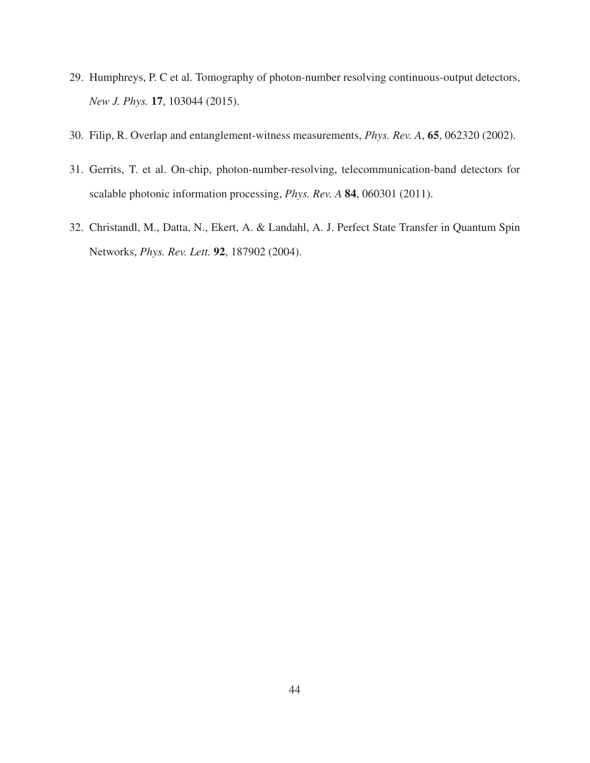- <span id="page-43-2"></span><span id="page-43-0"></span>29. Humphreys, P. C et al. Tomography of photon-number resolving continuous-output detectors, *New J. Phys.* 17, 103044 (2015).
- <span id="page-43-1"></span>30. Filip, R. Overlap and entanglement-witness measurements, *Phys. Rev. A*, 65, 062320 (2002).
- <span id="page-43-3"></span>31. Gerrits, T. et al. On-chip, photon-number-resolving, telecommunication-band detectors for scalable photonic information processing, *Phys. Rev. A* 84, 060301 (2011).
- 32. Christandl, M., Datta, N., Ekert, A. & Landahl, A. J. Perfect State Transfer in Quantum Spin Networks, *Phys. Rev. Lett.* 92, 187902 (2004).